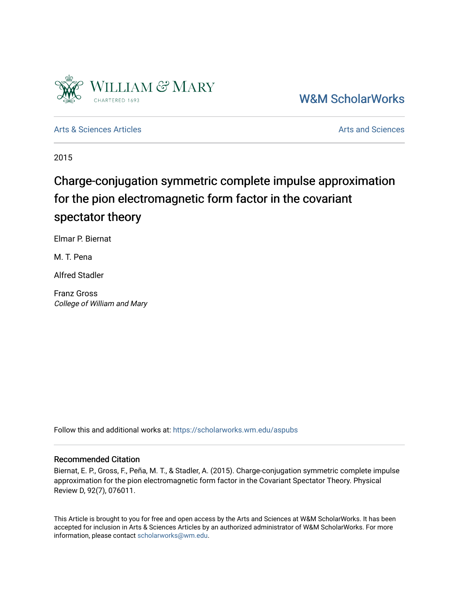

[W&M ScholarWorks](https://scholarworks.wm.edu/) 

[Arts & Sciences Articles](https://scholarworks.wm.edu/aspubs) **Articles** [Arts and Sciences](https://scholarworks.wm.edu/as) Arts and Sciences

2015

# Charge-conjugation symmetric complete impulse approximation for the pion electromagnetic form factor in the covariant spectator theory

Elmar P. Biernat

M. T. Pena

Alfred Stadler

Franz Gross College of William and Mary

Follow this and additional works at: [https://scholarworks.wm.edu/aspubs](https://scholarworks.wm.edu/aspubs?utm_source=scholarworks.wm.edu%2Faspubs%2F907&utm_medium=PDF&utm_campaign=PDFCoverPages) 

# Recommended Citation

Biernat, E. P., Gross, F., Peña, M. T., & Stadler, A. (2015). Charge-conjugation symmetric complete impulse approximation for the pion electromagnetic form factor in the Covariant Spectator Theory. Physical Review D, 92(7), 076011.

This Article is brought to you for free and open access by the Arts and Sciences at W&M ScholarWorks. It has been accepted for inclusion in Arts & Sciences Articles by an authorized administrator of W&M ScholarWorks. For more information, please contact [scholarworks@wm.edu](mailto:scholarworks@wm.edu).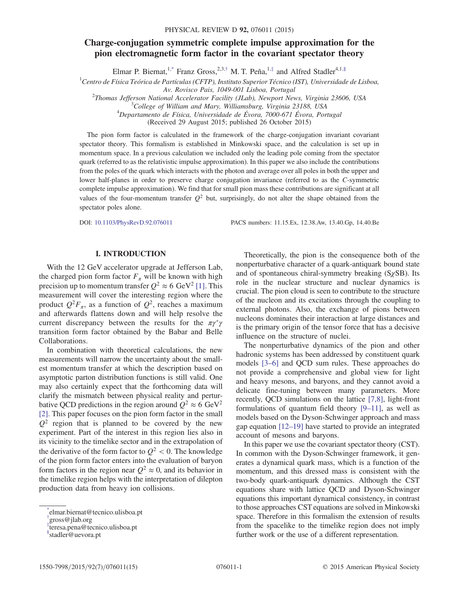# Charge-conjugation symmetric complete impulse approximation for the pion electromagnetic form factor in the covariant spectator theory

Elmar P. Biernat,<sup>1[,\\*](#page-1-0)</sup> Franz Gross,<sup>2,3,[†](#page-1-1)</sup> M. T. Peña,<sup>1,[‡](#page-1-2)</sup> and Alfred Stadler<sup>4,[1,§](#page-1-3)</sup>

<span id="page-1-4"></span> $^1$ Centro de Física Teórica de Partículas (CFTP), Instituto Superior Técnico (IST), Universidade de Lisboa,

Av. Rovisco Pais, 1049-001 Lisboa, Portugal <sup>2</sup>

 $2$ Thomas Jefferson National Accelerator Facility (JLab), Newport News, Virginia 23606, USA

 ${}^{3}$ College of William and Mary, Williamsburg, Virginia 23188, USA

 $^{4}$ Departamento de Física, Universidade de Évora, 7000-671 Évora, Portugal

(Received 29 August 2015; published 26 October 2015)

The pion form factor is calculated in the framework of the charge-conjugation invariant covariant spectator theory. This formalism is established in Minkowski space, and the calculation is set up in momentum space. In a previous calculation we included only the leading pole coming from the spectator quark (referred to as the relativistic impulse approximation). In this paper we also include the contributions from the poles of the quark which interacts with the photon and average over all poles in both the upper and lower half-planes in order to preserve charge conjugation invariance (referred to as the C-symmetric complete impulse approximation). We find that for small pion mass these contributions are significant at all values of the four-momentum transfer  $Q^2$  but, surprisingly, do not alter the shape obtained from the spectator poles alone.

DOI: [10.1103/PhysRevD.92.076011](http://dx.doi.org/10.1103/PhysRevD.92.076011) PACS numbers: 11.15.Ex, 12.38.Aw, 13.40.Gp, 14.40.Be

# I. INTRODUCTION

With the 12 GeV accelerator upgrade at Jefferson Lab, the charged pion form factor  $F_{\pi}$  will be known with high precision up to momentum transfer  $Q^2 \approx 6 \text{ GeV}^2$  [\[1\]](#page-14-0). This measurement will cover the interesting region where the product  $Q^2F_\pi$ , as a function of  $Q^2$ , reaches a maximum and afterwards flattens down and will help resolve the current discrepancy between the results for the  $\pi\gamma^*\gamma$ transition form factor obtained by the Babar and Belle Collaborations.

In combination with theoretical calculations, the new measurements will narrow the uncertainty about the smallest momentum transfer at which the description based on asymptotic parton distribution functions is still valid. One may also certainly expect that the forthcoming data will clarify the mismatch between physical reality and perturbative QCD predictions in the region around  $Q^2 \approx 6 \text{ GeV}^2$ [\[2\]](#page-14-1). This paper focuses on the pion form factor in the small  $Q^2$  region that is planned to be covered by the new experiment. Part of the interest in this region lies also in its vicinity to the timelike sector and in the extrapolation of the derivative of the form factor to  $Q^2 < 0$ . The knowledge of the pion form factor enters into the evaluation of baryon form factors in the region near  $Q^2 \approx 0$ , and its behavior in the timelike region helps with the interpretation of dilepton production data from heavy ion collisions.

Theoretically, the pion is the consequence both of the nonperturbative character of a quark-antiquark bound state and of spontaneous chiral-symmetry breaking  $(S \gamma SB)$ . Its role in the nuclear structure and nuclear dynamics is crucial. The pion cloud is seen to contribute to the structure of the nucleon and its excitations through the coupling to external photons. Also, the exchange of pions between nucleons dominates their interaction at large distances and is the primary origin of the tensor force that has a decisive influence on the structure of nuclei.

The nonperturbative dynamics of the pion and other hadronic systems has been addressed by constituent quark models [\[3](#page-14-2)–6] and QCD sum rules. These approaches do not provide a comprehensive and global view for light and heavy mesons, and baryons, and they cannot avoid a delicate fine-tuning between many parameters. More recently, QCD simulations on the lattice [\[7,8\]](#page-14-3), light-front formulations of quantum field theory [9–[11\],](#page-14-4) as well as models based on the Dyson-Schwinger approach and mass gap equation [12–[19\]](#page-14-5) have started to provide an integrated account of mesons and baryons.

In this paper we use the covariant spectator theory (CST). In common with the Dyson-Schwinger framework, it generates a dynamical quark mass, which is a function of the momentum, and this dressed mass is consistent with the two-body quark-antiquark dynamics. Although the CST equations share with lattice QCD and Dyson-Schwinger equations this important dynamical consistency, in contrast to those approaches CST equations are solved in Minkowski space. Therefore in this formalism the extension of results from the spacelike to the timelike region does not imply further work or the use of a different representation.

<span id="page-1-0"></span>[<sup>\\*</sup>](#page-1-4) elmar.biernat@tecnico.ulisboa.pt

<span id="page-1-1"></span>[<sup>†</sup>](#page-1-4) gross@jlab.org

<span id="page-1-2"></span>[<sup>‡</sup>](#page-1-4) teresa.pena@tecnico.ulisboa.pt

<span id="page-1-3"></span>[<sup>§</sup>](#page-1-4) stadler@uevora.pt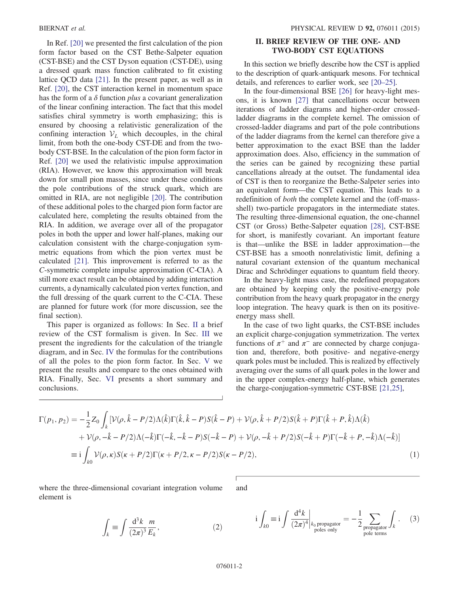In Ref. [\[20\]](#page-14-6) we presented the first calculation of the pion form factor based on the CST Bethe-Salpeter equation (CST-BSE) and the CST Dyson equation (CST-DE), using a dressed quark mass function calibrated to fit existing lattice QCD data [\[21\].](#page-14-7) In the present paper, as well as in Ref. [\[20\]](#page-14-6), the CST interaction kernel in momentum space has the form of a  $\delta$  function *plus* a covariant generalization of the linear confining interaction. The fact that this model satisfies chiral symmetry is worth emphasizing; this is ensured by choosing a relativistic generalization of the confining interaction  $V_L$  which decouples, in the chiral limit, from both the one-body CST-DE and from the twobody CST-BSE. In the calculation of the pion form factor in Ref. [\[20\]](#page-14-6) we used the relativistic impulse approximation (RIA). However, we know this approximation will break down for small pion masses, since under these conditions the pole contributions of the struck quark, which are omitted in RIA, are not negligible [\[20\].](#page-14-6) The contribution of these additional poles to the charged pion form factor are calculated here, completing the results obtained from the RIA. In addition, we average over all of the propagator poles in both the upper and lower half-planes, making our calculation consistent with the charge-conjugation symmetric equations from which the pion vertex must be calculated [\[21\]](#page-14-7). This improvement is referred to as the C-symmetric complete impulse approximation (C-CIA). A still more exact result can be obtained by adding interaction currents, a dynamically calculated pion vertex function, and the full dressing of the quark current to the C-CIA. These are planned for future work (for more discussion, see the final section).

This paper is organized as follows: In Sec. [II](#page-2-0) a brief review of the CST formalism is given. In Sec. [III](#page-3-0) we present the ingredients for the calculation of the triangle diagram, and in Sec. [IV](#page-5-0) the formulas for the contributions of all the poles to the pion form factor. In Sec. [V](#page-9-0) we present the results and compare to the ones obtained with RIA. Finally, Sec. [VI](#page-11-0) presents a short summary and conclusions.

# <span id="page-2-0"></span>II. BRIEF REVIEW OF THE ONE- AND TWO-BODY CST EQUATIONS

In this section we briefly describe how the CST is applied to the description of quark-antiquark mesons. For technical details, and references to earlier work, see [\[20](#page-14-6)–25].

In the four-dimensional BSE [\[26\]](#page-14-8) for heavy-light mesons, it is known [\[27\]](#page-14-9) that cancellations occur between iterations of ladder diagrams and higher-order crossedladder diagrams in the complete kernel. The omission of crossed-ladder diagrams and part of the pole contributions of the ladder diagrams from the kernel can therefore give a better approximation to the exact BSE than the ladder approximation does. Also, efficiency in the summation of the series can be gained by recognizing these partial cancellations already at the outset. The fundamental idea of CST is then to reorganize the Bethe-Salpeter series into an equivalent form—the CST equation. This leads to a redefinition of both the complete kernel and the (off-massshell) two-particle propagators in the intermediate states. The resulting three-dimensional equation, the one-channel CST (or Gross) Bethe-Salpeter equation [\[28\],](#page-14-10) CST-BSE for short, is manifestly covariant. An important feature is that—unlike the BSE in ladder approximation—the CST-BSE has a smooth nonrelativistic limit, defining a natural covariant extension of the quantum mechanical Dirac and Schrödinger equations to quantum field theory.

In the heavy-light mass case, the redefined propagators are obtained by keeping only the positive-energy pole contribution from the heavy quark propagator in the energy loop integration. The heavy quark is then on its positiveenergy mass shell.

In the case of two light quarks, the CST-BSE includes an explicit charge-conjugation symmetrization. The vertex functions of  $\pi$ <sup>+</sup> and  $\pi$ <sup>-</sup> are connected by charge conjugation and, therefore, both positive- and negative-energy quark poles must be included. This is realized by effectively averaging over the sums of all quark poles in the lower and in the upper complex-energy half-plane, which generates the charge-conjugation-symmetric CST-BSE [\[21,25\],](#page-14-7)

<span id="page-2-1"></span>
$$
\Gamma(p_1, p_2) = -\frac{1}{2} Z_0 \int_k [\mathcal{V}(\rho, \hat{k} - P/2) \Lambda(\hat{k}) \Gamma(\hat{k}, \hat{k} - P) S(\hat{k} - P) + \mathcal{V}(\rho, \hat{k} + P/2) S(\hat{k} + P) \Gamma(\hat{k} + P, \hat{k}) \Lambda(\hat{k}) \n+ \mathcal{V}(\rho, -\hat{k} - P/2) \Lambda(-\hat{k}) \Gamma(-\hat{k}, -\hat{k} - P) S(-\hat{k} - P) + \mathcal{V}(\rho, -\hat{k} + P/2) S(-\hat{k} + P) \Gamma(-\hat{k} + P, -\hat{k}) \Lambda(-\hat{k})] \n\equiv i \int_{k0} \mathcal{V}(\rho, \kappa) S(\kappa + P/2) \Gamma(\kappa + P/2, \kappa - P/2) S(\kappa - P/2),
$$
\n(1)

where the three-dimensional covariant integration volume element is

and

$$
\int_{k} \equiv \int \frac{\mathrm{d}^3 k}{(2\pi)^3} \frac{m}{E_k},\tag{2}
$$

$$
i\int_{k0} \equiv i \int \frac{d^4k}{(2\pi)^4} \bigg|_{\substack{k_0 \text{ propagator} \\ \text{poles only}}} = -\frac{1}{2} \sum_{\substack{\text{propagator} \\ \text{pole terms}}} \int_k . \quad (3)
$$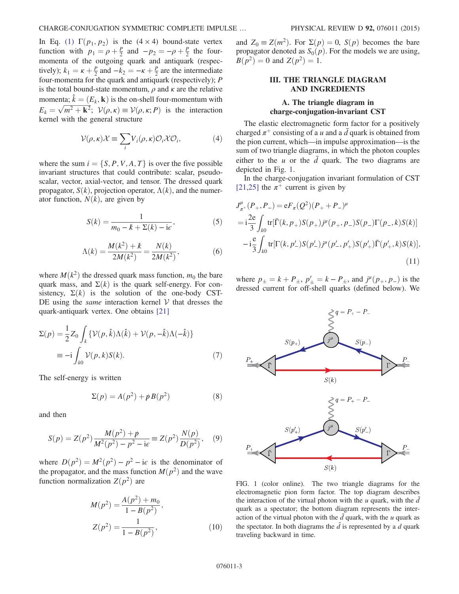In Eq. [\(1\)](#page-2-1)  $\Gamma(p_1, p_2)$  is the (4 × 4) bound-state vertex function with  $p_1 = \rho + \frac{p}{2}$  and  $-p_2 = -\rho + \frac{p}{2}$  the four-<br>momenta of the outgoing quark and antiquark (respecmomenta of the outgoing quark and antiquark (respectively);  $k_1 = \kappa + \frac{p}{2}$  and  $-k_2 = -\kappa + \frac{p}{2}$  are the intermediate<br>four-momenta for the quark and antiquark (respectively): *P* four-momenta for the quark and antiquark (respectively); P is the total bound-state momentum,  $\rho$  and  $\kappa$  are the relative momenta;  $\hat{k} = (E_k, \mathbf{k})$  is the on-shell four-momentum with  $E_k = \sqrt{m^2 + \mathbf{k}^2}$ ;  $\mathcal{V}(\rho, \kappa) \equiv \mathcal{V}(\rho, \kappa; P)$  is the interaction kernel with the general structure kernel with the general structure

$$
\mathcal{V}(\rho,\kappa)\mathcal{X} \equiv \sum_{i} V_{i}(\rho,\kappa)\mathcal{O}_{i}\mathcal{X}\mathcal{O}_{i},\tag{4}
$$

where the sum  $i = \{S, P, V, A, T\}$  is over the five possible invariant structures that could contribute: scalar, pseudoscalar, vector, axial-vector, and tensor. The dressed quark propagator,  $S(k)$ , projection operator,  $\Lambda(k)$ , and the numerator function,  $N(k)$ , are given by

$$
S(k) = \frac{1}{m_0 - k + \Sigma(k) - i\epsilon},
$$
 (5)

$$
\Lambda(k) = \frac{M(k^2) + k}{2M(k^2)} = \frac{N(k)}{2M(k^2)},
$$
\n(6)

where  $M(k^2)$  the dressed quark mass function,  $m_0$  the bare quark mass, and  $\Sigma(k)$  is the quark self-energy. For consistency,  $\Sigma(k)$  is the solution of the one-body CST-DE using the *same* interaction kernel  $V$  that dresses the quark-antiquark vertex. One obtains [\[21\]](#page-14-7)

$$
\Sigma(p) = \frac{1}{2} Z_0 \int_k \{ \mathcal{V}(p, \hat{k}) \Lambda(\hat{k}) + \mathcal{V}(p, -\hat{k}) \Lambda(-\hat{k}) \}
$$
  

$$
\equiv -i \int_{k0} \mathcal{V}(p, k) S(k).
$$
 (7)

The self-energy is written

$$
\Sigma(p) = A(p^2) + p B(p^2) \tag{8}
$$

and then

$$
S(p) = Z(p^2) \frac{M(p^2) + p}{M^2(p^2) - p^2 - i\epsilon} \equiv Z(p^2) \frac{N(p)}{D(p^2)},
$$
 (9)

where  $D(p^2) = M^2(p^2) - p^2 - i\epsilon$  is the denominator of the propagator, and the mass function  $M(p^2)$  and the wave function normalization  $Z(p^2)$  are

$$
M(p^{2}) = \frac{A(p^{2}) + m_{0}}{1 - B(p^{2})},
$$
  
\n
$$
Z(p^{2}) = \frac{1}{1 - B(p^{2})},
$$
\n(10)

<span id="page-3-0"></span>and  $Z_0 \equiv Z(m^2)$ . For  $\Sigma(p) = 0$ ,  $S(p)$  becomes the bare propagator denoted as  $S_0(p)$ . For the models we are using,  $B(p^2) = 0$  and  $Z(p^2) = 1$ .

# III. THE TRIANGLE DIAGRAM AND INGREDIENTS

# A. The triangle diagram in charge-conjugation-invariant CST

The elastic electromagnetic form factor for a positively charged  $\pi^+$  consisting of a u and a  $\bar{d}$  quark is obtained from the pion current, which—in impulse approximation—is the sum of two triangle diagrams, in which the photon couples either to the u or the  $\bar{d}$  quark. The two diagrams are depicted in Fig. [1](#page-3-1).

<span id="page-3-2"></span>In the charge-conjugation invariant formulation of CST [\[21,25\]](#page-14-7) the  $\pi$ <sup>+</sup> current is given by

$$
J_{\pi^+}^{\mu}(P_+, P_-) = eF_{\pi}(Q^2)(P_+ + P_-)^{\mu}
$$
  
=  $i\frac{2e}{3}\int_{k0} tr[\bar{\Gamma}(k, p_+)S(p_+)j^{\mu}(p_+, p_-)S(p_-)\Gamma(p_-, k)S(k)]$   

$$
-i\frac{e}{3}\int_{k0} tr[\Gamma(k, p'_-)S(p'_-)j^{\mu}(p'_-, p'_+)S(p'_+) \bar{\Gamma}(p'_+, k)S(k)],
$$
  
(11)

where  $p_{\pm} = k + P_{\pm}$ ,  $p'_{\pm} = k - P_{\pm}$ , and  $j^{\mu}(p_{+}, p_{-})$  is the dressed current for off-shell quarks (defined below). We dressed current for off-shell quarks (defined below). We

<span id="page-3-1"></span>

FIG. 1 (color online). The two triangle diagrams for the electromagnetic pion form factor. The top diagram describes the interaction of the virtual photon with the  $u$  quark, with the  $d$ quark as a spectator; the bottom diagram represents the interaction of the virtual photon with the  $\bar{d}$  quark, with the u quark as the spectator. In both diagrams the  $\overline{d}$  is represented by a d quark traveling backward in time.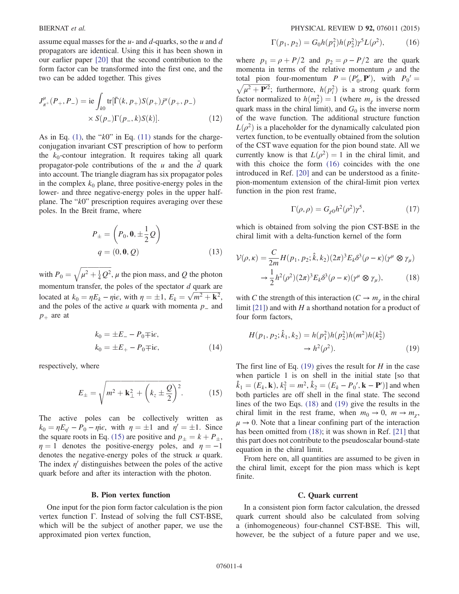assume equal masses for the  $u$ - and  $d$ -quarks, so the  $u$  and  $d$ propagators are identical. Using this it has been shown in our earlier paper [\[20\]](#page-14-6) that the second contribution to the form factor can be transformed into the first one, and the two can be added together. This gives

<span id="page-4-4"></span>
$$
J_{\pi^+}^{\mu}(P_+, P_-) = i e \int_{k0} tr[\bar{\Gamma}(k, p_+) S(p_+) j^{\mu}(p_+, p_-) \times S(p_-) \Gamma(p_-, k) S(k)]. \tag{12}
$$

As in Eq.  $(1)$ , the " $k0$ " in Eq.  $(11)$  stands for the chargeconjugation invariant CST prescription of how to perform the  $k_0$ -contour integration. It requires taking all quark propagator-pole contributions of the u and the  $\overline{d}$  quark into account. The triangle diagram has six propagator poles in the complex  $k_0$  plane, three positive-energy poles in the lower- and three negative-energy poles in the upper halfplane. The "k0" prescription requires averaging over these poles. In the Breit frame, where

$$
P_{\pm} = \left(P_0, \mathbf{0}, \pm \frac{1}{2} \mathcal{Q}\right)
$$

$$
q = (0, \mathbf{0}, \mathcal{Q})
$$
(13)

with  $P_0 = \sqrt{\mu^2 + \frac{1}{4}Q^2}$ ,  $\mu$  the pion mass, and Q the photon momentum transfer, the poles of the spectator  $d$  quark are located at  $k_0 = \eta E_k - \eta i \epsilon$ , with  $\eta = \pm 1$ ,  $E_k = \sqrt{m^2 + k^2}$ , and the poles of the active *u* quark with momenta *n*, and and the poles of the active u quark with momenta  $p_$  and  $p_+$  are at

$$
k_0 = \pm E_- - P_0 \mp i\epsilon,
$$
  
\n
$$
k_0 = \pm E_+ - P_0 \mp i\epsilon,
$$
\n(14)

<span id="page-4-0"></span>respectively, where

$$
E_{\pm} = \sqrt{m^2 + \mathbf{k}_{\perp}^2 + \left(k_z \pm \frac{Q}{2}\right)^2}.
$$
 (15)

The active poles can be collectively written as  $k_0 = \eta E_{\eta'} - P_0 - \eta i \epsilon$ , with  $\eta = \pm 1$  and  $\eta' = \pm 1$ . Since the square roots in Eq. [\(15\)](#page-4-0) are positive and  $p_{\pm} = k + P_{\pm}$ ,  $\eta = 1$  denotes the positive-energy poles, and  $\eta = -1$ denotes the negative-energy poles of the struck u quark. The index  $\eta'$  distinguishes between the poles of the active quark before and after its interaction with the photon.

# B. Pion vertex function

<span id="page-4-1"></span>One input for the pion form factor calculation is the pion vertex function Γ. Instead of solving the full CST-BSE, which will be the subject of another paper, we use the approximated pion vertex function,

$$
\Gamma(p_1, p_2) = G_0 h(p_1^2) h(p_2^2) \gamma^5 L(\rho^2),\tag{16}
$$

where  $p_1 = \rho + P/2$  and  $p_2 = \rho - P/2$  are the quark momenta in terms of the relative momentum  $\rho$  and the total pion four-momentum  $P = (P'_0, P')$ , with  $P_0$ at pion four-momentum  $F = (F_0, \mathbf{F})$ , with  $F_0 = \mu^2 + \mathbf{P}^2$ ; furthermore,  $h(p_i^2)$  is a strong quark form  $\sqrt{\mu^2 + P'^2}$ ; furthermore,  $h(p_i^2)$  is a strong quark form<br>factor pormalized to  $h(m^2) - 1$  (where m is the dressed factor normalized to  $h(m_\chi^2) = 1$  (where  $m_\chi$  is the dressed<br>quark mass in the chiral limit) and G, is the inverse norm quark mass in the chiral limit), and  $G_0$  is the inverse norm of the wave function. The additional structure function  $L(\rho^2)$  is a placeholder for the dynamically calculated pion vertex function, to be eventually obtained from the solution of the CST wave equation for the pion bound state. All we currently know is that  $L(\rho^2) = 1$  in the chiral limit, and with this choice the form  $(16)$  coincides with the one introduced in Ref. [\[20\]](#page-14-6) and can be understood as a finitepion-momentum extension of the chiral-limit pion vertex function in the pion rest frame,

$$
\Gamma(\rho,\rho) = G_{\chi 0} h^2(\rho^2) \gamma^5,\tag{17}
$$

<span id="page-4-3"></span>which is obtained from solving the pion CST-BSE in the chiral limit with a delta-function kernel of the form

$$
\mathcal{V}(\rho,\kappa) = \frac{C}{2m} H(p_1, p_2; \hat{k}, k_2) (2\pi)^3 E_k \delta^3(\rho - \kappa) (\gamma^\mu \otimes \gamma_\mu)
$$
  

$$
\rightarrow \frac{1}{2} h^2(\rho^2) (2\pi)^3 E_k \delta^3(\rho - \kappa) (\gamma^\mu \otimes \gamma_\mu), \tag{18}
$$

<span id="page-4-2"></span>with C the strength of this interaction ( $C \rightarrow m_{\chi}$  in the chiral limit  $[21]$ ) and with H a shorthand notation for a product of four form factors,

$$
H(p_1, p_2; \hat{k}_1, k_2) = h(p_1^2)h(p_2^2)h(m^2)h(k_2^2)
$$
  

$$
\rightarrow h^2(\rho^2).
$$
 (19)

The first line of Eq.  $(19)$  gives the result for H in the case when particle 1 is on shell in the initial state [so that  $\hat{k}_1 = (E_k, \mathbf{k}), k_1^2 = m^2, \hat{k}_2 = (E_k - P_0', \mathbf{k} - \mathbf{P}')]$  and when<br>both particles are off shell in the final state. The second both particles are off shell in the final state. The second lines of the two Eqs. [\(18\)](#page-4-3) and [\(19\)](#page-4-2) give the results in the chiral limit in the rest frame, when  $m_0 \to 0$ ,  $m \to m_\chi$ ,  $\mu \rightarrow 0$ . Note that a linear confining part of the interaction has been omitted from [\(18\)](#page-4-3); it was shown in Ref. [\[21\]](#page-14-7) that this part does not contribute to the pseudoscalar bound-state equation in the chiral limit.

From here on, all quantities are assumed to be given in the chiral limit, except for the pion mass which is kept finite.

# C. Quark current

In a consistent pion form factor calculation, the dressed quark current should also be calculated from solving a (inhomogeneous) four-channel CST-BSE. This will, however, be the subject of a future paper and we use,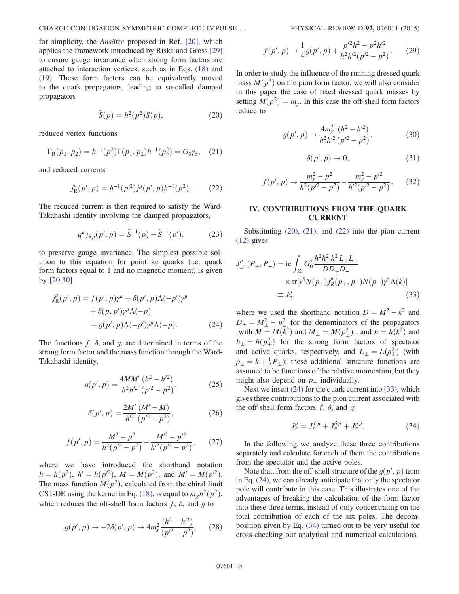# CHARGE-CONJUGATION SYMMETRIC COMPLETE IMPULSE … PHYSICAL REVIEW D 92, 076011 (2015)

for simplicity, the Ansätze proposed in Ref. [\[20\],](#page-14-6) which applies the framework introduced by Riska and Gross [\[29\]](#page-14-11) to ensure gauge invariance when strong form factors are attached to interaction vertices, such as in Eqs. [\(18\)](#page-4-3) and [\(19\)](#page-4-2). These form factors can be equivalently moved to the quark propagators, leading to so-called damped propagators

$$
\tilde{S}(p) = h^2(p^2)S(p),\tag{20}
$$

<span id="page-5-2"></span><span id="page-5-1"></span>reduced vertex functions

$$
\Gamma_{\mathcal{R}}(p_1, p_2) = h^{-1}(p_1^2) \Gamma(p_1, p_2) h^{-1}(p_2^2) = G_0 \gamma_5, \quad (21)
$$

<span id="page-5-3"></span>and reduced currents

$$
j_{\rm R}^{\mu}(p',p) = h^{-1}(p'^2)j^{\mu}(p',p)h^{-1}(p^2). \tag{22}
$$

The reduced current is then required to satisfy the Ward-Takahashi identity involving the damped propagators,

$$
q^{\mu}j_{\mathbf{R}\mu}(p',p) = \tilde{S}^{-1}(p) - \tilde{S}^{-1}(p'),\tag{23}
$$

<span id="page-5-4"></span>to preserve gauge invariance. The simplest possible solution to this equation for pointlike quarks (i.e. quark form factors equal to 1 and no magnetic moment) is given by [\[20,30\]](#page-14-6)

$$
j_R^{\mu}(p', p) = f(p', p)\gamma^{\mu} + \delta(p', p)\Lambda(-p')\gamma^{\mu} + \delta(p, p')\gamma^{\mu}\Lambda(-p) + g(p', p)\Lambda(-p')\gamma^{\mu}\Lambda(-p).
$$
 (24)

The functions  $f$ ,  $\delta$ , and  $g$ , are determined in terms of the strong form factor and the mass function through the Ward-Takahashi identity,

$$
g(p', p) = \frac{4MM'}{h^2 h'^2} \frac{(h^2 - h'^2)}{(p'^2 - p^2)},
$$
 (25)

$$
\delta(p', p) = \frac{2M'}{h'^2} \frac{(M' - M)}{(p'^2 - p^2)},
$$
\n(26)

$$
f(p', p) = \frac{M^2 - p^2}{h^2(p'^2 - p^2)} - \frac{M'^2 - p'^2}{h'^2(p'^2 - p^2)},\qquad(27)
$$

where we have introduced the shorthand notation  $h = h(p^2)$ ,  $h' = h(p'^2)$ ,  $M = M(p^2)$ , and  $M' = M(p'^2)$ . The mass function  $M(p^2)$ , calculated from the chiral limit CST-DE using the kernel in Eq. [\(18\)](#page-4-3), is equal to  $m_{\chi}h^2(p^2)$ , which reduces the off-shell form factors  $f$ ,  $\delta$ , and  $g$  to

$$
g(p', p) \to -2\delta(p', p) \to 4m_{\chi}^2 \frac{(h^2 - h'^2)}{(p'^2 - p^2)},
$$
 (28)

$$
f(p', p) \rightarrow \frac{1}{4}g(p', p) + \frac{p'^2h^2 - p^2h'^2}{h^2h'^2(p'^2 - p^2)}.
$$
 (29)

In order to study the influence of the running dressed quark mass  $M(p^2)$  on the pion form factor, we will also consider in this paper the case of fixed dressed quark masses by setting  $M(p^2) = m_\gamma$ . In this case the off-shell form factors reduce to

$$
g(p', p) \to \frac{4m_{\chi}^2}{h^2 h'^2} \frac{(h^2 - h'^2)}{(p'^2 - p^2)},
$$
\n(30)

$$
\delta(p', p) \to 0,\tag{31}
$$

$$
f(p', p) \to \frac{m_{\chi}^2 - p^2}{h^2(p'^2 - p^2)} - \frac{m_{\chi}^2 - p'^2}{h'^2(p'^2 - p^2)}.
$$
 (32)

# <span id="page-5-0"></span>IV. CONTRIBUTIONS FROM THE QUARK CURRENT

<span id="page-5-5"></span>Substituting [\(20\)](#page-5-1), [\(21\),](#page-5-2) and [\(22\)](#page-5-3) into the pion current [\(12\)](#page-4-4) gives

$$
J_{\pi^+}^{\mu}(P_+, P_-) = \text{ie} \int_{k0} G_0^2 \frac{h^2 h_+^2 h_-^2 L_+ L_-}{DD_+ D_-} \times \text{tr}[Y^5 N(p_+) j_R^{\mu}(p_+, p_-) N(p_-) Y^5 \Lambda(k)]
$$
  

$$
\equiv J_{\pi}^{\mu}, \tag{33}
$$

where we used the shorthand notation  $D = M^2 - k^2$  and  $D_{\pm} = M_{\pm}^2 - p_{\pm}^2$  for the denominators of the propagators<br>
(with  $M = M(k^2)$  and  $M = M(n^2)$ ) and  $h = h(k^2)$  and [with  $M = M(k^2)$  and  $M_{\pm} = M(p_{\pm}^2)$ ], and  $h = h(k^2)$  and  $h = h(n^2)$  for the strong form factors of spectator  $h_{\pm} = h(p_{\pm}^2)$  for the strong form factors of spectator<br>and active quarks respectively and  $I_{\pm} = I(q^2)$  (with and active quarks, respectively, and  $L_{\pm} = L(\rho_{\pm}^2)$  (with  $\rho_{\pm} = k + \frac{1}{2} P_{\pm}$ ); these additional structure functions are<br>assumed to be functions of the relative momentum but they assumed to be functions of the relative momentum, but they might also depend on  $p_+$  individually.

<span id="page-5-6"></span>Next we insert [\(24\)](#page-5-4) for the quark current into [\(33\),](#page-5-5) which gives three contributions to the pion current associated with the off-shell form factors  $f$ ,  $\delta$ , and  $g$ :

$$
J_{\pi}^{\mu} = J_{\pi}^{f,\mu} + J_{\pi}^{\delta,\mu} + J_{\pi}^{g,\mu}.
$$
 (34)

In the following we analyze these three contributions separately and calculate for each of them the contributions from the spectator and the active poles.

Note that, from the off-shell structure of the  $g(p', p)$  term<br>Eq. (24), we can already anticipate that only the spectator in Eq. [\(24\),](#page-5-4) we can already anticipate that only the spectator pole will contribute in this case. This illustrates one of the advantages of breaking the calculation of the form factor into these three terms, instead of only concentrating on the total contribution of each of the six poles. The decomposition given by Eq. [\(34\)](#page-5-6) turned out to be very useful for cross-checking our analytical and numerical calculations.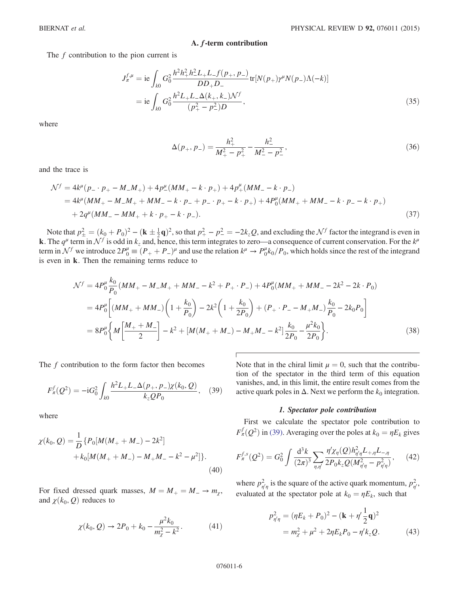#### A. f-term contribution

The  $f$  contribution to the pion current is

$$
J_{\pi}^{f,\mu} = ie \int_{k0} G_0^2 \frac{h^2 h_+^2 h_-^2 L_+ L_- f(p_+, p_-)}{DD_+ D_-} tr[N(p_+) \gamma^{\mu} N(p_-) \Lambda(-k)]
$$
  
= ie 
$$
\int_{k0} G_0^2 \frac{h^2 L_+ L_- \Delta(k_+, k_-) \mathcal{N}^f}{(p_+^2 - p_-^2) D},
$$
 (35)

where

$$
\Delta(p_+, p_-) = \frac{h_+^2}{M_+^2 - p_+^2} - \frac{h_-^2}{M_-^2 - p_-^2},\tag{36}
$$

and the trace is

$$
\mathcal{N}^f = 4k^{\mu}(p_{-} \cdot p_{+} - M_{-}M_{+}) + 4p_{-}^{\mu}(MM_{+} - k \cdot p_{+}) + 4p_{+}^{\mu}(MM_{-} - k \cdot p_{-})
$$
  
= 4k^{\mu}(MM\_{+} - M\_{-}M\_{+} + MM\_{-} - k \cdot p\_{-} + p\_{-} \cdot p\_{+} - k \cdot p\_{+}) + 4p\_{0}^{\mu}(MM\_{+} + MM\_{-} - k \cdot p\_{-} - k \cdot p\_{+})  
+ 2q^{\mu}(MM\_{-} - MM\_{+} + k \cdot p\_{+} - k \cdot p\_{-}). \t(37)

Note that  $p_{\pm}^2 = (k_0 + P_0)^2 - (\mathbf{k} \pm \frac{1}{2} \mathbf{q})^2$ , so that  $p_+^2 - p_-^2 = -2k_z Q$ , and excluding the  $\mathcal{N}^f$  factor the integrand is even in <br>**k**. The  $q^{\mu}$  term in  $\mathcal{N}^f$  is odd in  $k_z$  and, hence, this term int term in  $\mathcal{N}^f$  we introduce  $2P_0^{\mu} \equiv (P_+ + P_-)^{\mu}$  and use the relation  $k^{\mu} \to P_0^{\mu} k_0/P_0$ , which holds since the rest of the integrand is even in k. Then the remaining terms reduce to

$$
\mathcal{N}^f = 4P_0^{\mu} \frac{k_0}{P_0} (MM_+ - M_-M_+ + MM_- - k^2 + P_+ \cdot P_-) + 4P_0^{\mu} (MM_+ + MM_- - 2k^2 - 2k \cdot P_0)
$$
  
= 
$$
4P_0^{\mu} \bigg[ (MM_+ + MM_-) \bigg( 1 + \frac{k_0}{P_0} \bigg) - 2k^2 \bigg( 1 + \frac{k_0}{2P_0} \bigg) + (P_+ \cdot P_- - M_+M_-) \frac{k_0}{P_0} - 2k_0 P_0 \bigg]
$$
  
= 
$$
8P_0^{\mu} \bigg\{ M \bigg[ \frac{M_+ + M_-}{2} \bigg] - k^2 + [M(M_+ + M_-) - M_+M_- - k^2] \frac{k_0}{2P_0} - \frac{\mu^2 k_0}{2P_0} \bigg\}.
$$
 (38)

<span id="page-6-0"></span>The  $f$  contribution to the form factor then becomes

$$
F_{\pi}^{f}(Q^{2}) = -iG_{0}^{2} \int_{k0} \frac{h^{2}L_{+}L_{-}\Delta(p_{+}, p_{-})\chi(k_{0}, Q)}{k_{z}QP_{0}}, \quad (39)
$$

where

$$
\chi(k_0, Q) = \frac{1}{D} \{ P_0[M(M_+ + M_-) - 2k^2] + k_0[M(M_+ + M_-) - M_+M_- - k^2 - \mu^2] \}.
$$
\n(40)

For fixed dressed quark masses,  $M = M_+ = M_- \rightarrow m_\chi$ , and  $\chi(k_0, Q)$  reduces to

$$
\chi(k_0, Q) \to 2P_0 + k_0 - \frac{\mu^2 k_0}{m_{\chi}^2 - k^2}.
$$
 (41)

Note that in the chiral limit  $\mu = 0$ , such that the contribution of the spectator in the third term of this equation vanishes, and, in this limit, the entire result comes from the active quark poles in  $\Delta$ . Next we perform the  $k_0$  integration.

<span id="page-6-1"></span> $\frac{1}{1}$ . Spectator pole contribution pole contribution  $\frac{1}{1}$ . First we calculate the spectator pole contribution to  $F_{\pi}^{f}(Q^2)$  in [\(39\)](#page-6-0). Averaging over the poles at  $k_0 = \eta E_k$  gives

$$
F_{\pi}^{f,s}(Q^2) = G_0^2 \int \frac{\mathrm{d}^3 k}{(2\pi)^3} \sum_{\eta,\eta'} \frac{\eta' \chi_{\eta}(Q) h_{\eta'\eta}^2 L_{+,\eta} L_{-,\eta}}{2P_0 k_z Q(M_{\eta'\eta}^2 - p_{\eta'\eta}^2)},\qquad(42)
$$

<span id="page-6-2"></span>where  $p_{\eta'\eta}^2$  is the square of the active quark momentum,  $p_{\eta'}^2$ , evaluated at the spectator pole at  $k_0 = \eta E_k$ , such that

$$
p_{\eta'\eta}^2 = (\eta E_k + P_0)^2 - (\mathbf{k} + \eta' \frac{1}{2} \mathbf{q})^2
$$
  
=  $m_\chi^2 + \mu^2 + 2\eta E_k P_0 - \eta' k_z Q.$  (43)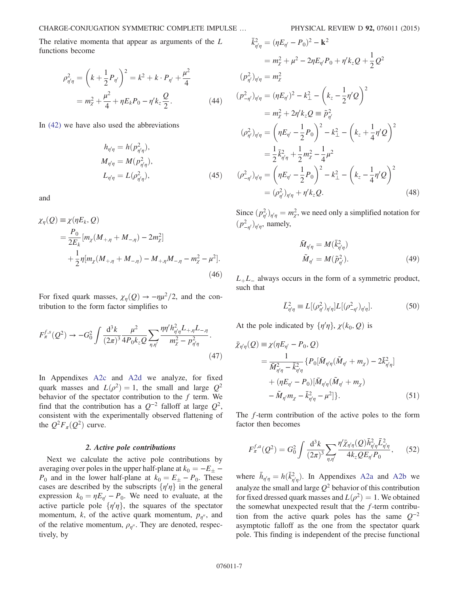The relative momenta that appear as arguments of the L functions become

$$
\rho_{\eta'\eta}^2 = \left(k + \frac{1}{2}P_{\eta'}\right)^2 = k^2 + k \cdot P_{\eta'} + \frac{\mu^2}{4}
$$

$$
= m_{\chi}^2 + \frac{\mu^2}{4} + \eta E_k P_0 - \eta' k_z \frac{Q}{2}.
$$
(44)

In [\(42\)](#page-6-1) we have also used the abbreviations

$$
h_{\eta'\eta} = h(p_{\eta'\eta}^2),
$$
  
\n
$$
M_{\eta'\eta} = M(p_{\eta'\eta}^2),
$$
  
\n
$$
L_{\eta'\eta} = L(\rho_{\eta'\eta}^2),
$$
\n(45)

and

$$
\chi_{\eta}(Q) \equiv \chi(\eta E_k, Q)
$$
  
=  $\frac{P_0}{2E_k} [m_{\chi}(M_{+,\eta} + M_{-,\eta}) - 2m_{\chi}^2]$   
+  $\frac{1}{2} \eta [m_{\chi}(M_{+,\eta} + M_{-,\eta}) - M_{+,\eta}M_{-,\eta} - m_{\chi}^2 - \mu^2].$  (46)

For fixed quark masses,  $\chi_n(Q) \to -\eta \mu^2/2$ , and the contribution to the form factor simplifies to

$$
F_{\pi}^{f,s}(Q^2) \to -G_0^2 \int \frac{\mathrm{d}^3 k}{(2\pi)^3} \frac{\mu^2}{4P_0 k_z Q} \sum_{\eta,\eta'} \frac{\eta \eta' h_{\eta'\eta}^2 L_{+,\eta} L_{-,\eta}}{m_{\chi}^2 - p_{\eta'\eta}^2}.
$$
\n(47)

In Appendixes [A2c](#page-13-0) and [A2d](#page-14-12) we analyze, for fixed quark masses and  $L(\rho^2) = 1$ , the small and large  $Q^2$ behavior of the spectator contribution to the  $f$  term. We find that the contribution has a  $Q^{-2}$  falloff at large  $Q^2$ , consistent with the experimentally observed flattening of the  $Q^2F_{\pi}(Q^2)$  curve.

 $\frac{1}{2}$ . Active pole contributions of contributions of  $\frac{1}{2}$ . Next we calculate the active pole contributions by averaging over poles in the upper half-plane at  $k_0 = -E_+ P_0$  and in the lower half-plane at  $k_0 = E_{\pm} - P_0$ . These cases are described by the subscripts  $\{\eta'\eta\}$  in the general<br>expression  $k_{\Omega} = nF$ ,  $P_{\Omega}$ . We need to evaluate at the expression  $k_0 = \eta E_{\eta'} - P_0$ . We need to evaluate, at the active particle pole  $\{\eta/\eta\}$ , the squares of the spectator<br>momentum k of the active quark momentum  $\eta$  and momentum, k, of the active quark momentum,  $p_{\eta''}$ , and of the relative momentum,  $\rho_{n''}$ . They are denoted, respectively, by

$$
\bar{k}_{\eta'\eta}^2 = (\eta E_{\eta'} - P_0)^2 - \mathbf{k}^2
$$
  
\n
$$
= m_{\chi}^2 + \mu^2 - 2\eta E_{\eta'} P_0 + \eta' k_z Q + \frac{1}{2} Q^2
$$
  
\n
$$
(p_{\eta'}^2)_{\eta'\eta} = m_{\chi}^2
$$
  
\n
$$
(p_{-\eta'}^2)_{\eta'\eta} = (\eta E_{\eta'})^2 - k_{\perp}^2 - \left(k_z - \frac{1}{2}\eta' Q\right)^2
$$
  
\n
$$
= m_{\chi}^2 + 2\eta' k_z Q \equiv \tilde{p}_{\eta'}^2
$$
  
\n
$$
(\rho_{\eta'}^2)_{\eta'\eta} = \left(\eta E_{\eta'} - \frac{1}{2} P_0\right)^2 - k_{\perp}^2 - \left(k_z + \frac{1}{4}\eta' Q\right)^2
$$
  
\n
$$
= \frac{1}{2} \bar{k}_{\eta'\eta}^2 + \frac{1}{2} m_{\chi}^2 - \frac{1}{4} \mu^2
$$
  
\n
$$
(\rho_{-\eta'}^2)_{\eta'\eta} = \left(\eta E_{\eta'} - \frac{1}{2} P_0\right)^2 - k_{\perp}^2 - \left(k_z - \frac{1}{4}\eta' Q\right)^2
$$
  
\n
$$
= (\rho_{\eta'}^2)_{\eta'\eta} + \eta' k_z Q.
$$
  
\n(48)

Since  $\left(p_{\eta'}^2\right)_{\eta'\eta} = m_{\chi}^2$ , we need only a simplified notation for  $(p_{-\eta'}^2)_{\eta'\eta}$ , namely,

$$
\overline{M}_{\eta'\eta} = M(\overline{k}_{\eta'\eta}^2)
$$
  

$$
\widetilde{M}_{\eta'} = M(\widetilde{p}_{\eta'}^2).
$$
 (49)

 $L_{+}L_{-}$  always occurs in the form of a symmetric product, such that

$$
\bar{L}_{\eta'\eta}^2 \equiv L[(\rho_{\eta'}^2)_{\eta'\eta}]L[(\rho_{-\eta'}^2)_{\eta'\eta}].
$$
\n(50)

<span id="page-7-1"></span>At the pole indicated by  $\{\eta'\eta\}, \chi(k_0, Q)$  is

$$
\bar{\chi}_{\eta'\eta}(Q) \equiv \chi(\eta E_{\eta'} - P_0, Q) \n= \frac{1}{\bar{M}_{\eta'\eta}^2 - \bar{k}_{\eta'\eta}^2} \{ P_0[\bar{M}_{\eta'\eta}(\tilde{M}_{\eta'} + m_\chi) - 2\bar{k}_{\eta'\eta}^2] \n+ (\eta E_{\eta'} - P_0)[\bar{M}_{\eta'\eta}(\tilde{M}_{\eta'} + m_\chi) \n- \tilde{M}_{\eta'} m_\chi - \bar{k}_{\eta'\eta}^2 - \mu^2] \}.
$$
\n(51)

<span id="page-7-0"></span>The f-term contribution of the active poles to the form factor then becomes

$$
F_{\pi}^{f,a}(Q^2) = G_0^2 \int \frac{\mathrm{d}^3 k}{(2\pi)^3} \sum_{\eta,\eta'} \frac{\eta' \bar{\chi}_{\eta'\eta}(Q) \bar{h}_{\eta'\eta}^2 \bar{L}_{\eta'\eta}^2}{4k_z Q E_{\eta'} P_0},\qquad(52)
$$

where  $\bar{h}_{\eta/\eta} = h(\bar{k}_{\eta/\eta}^2)$ . In Appendixes [A2a](#page-12-0) and [A2b](#page-13-1) we analyze the small and large  $Q^2$  behavior of this contribution for fixed dressed quark masses and  $L(\rho^2) = 1$ . We obtained the somewhat unexpected result that the  $f$ -term contribution from the active quark poles has the same  $Q^{-2}$ asymptotic falloff as the one from the spectator quark pole. This finding is independent of the precise functional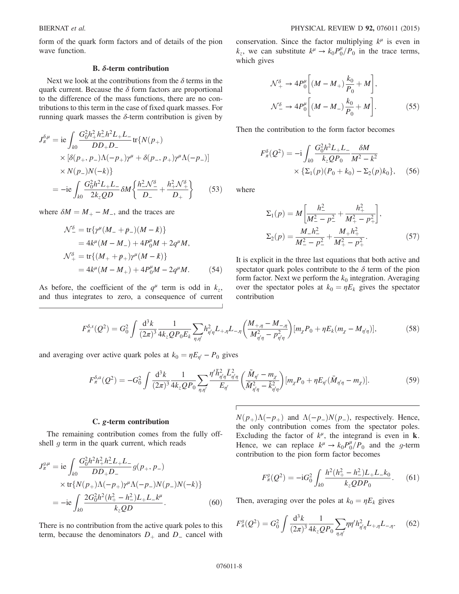form of the quark form factors and of details of the pion wave function.

#### B. δ-term contribution

Next we look at the contributions from the  $\delta$  terms in the quark current. Because the  $\delta$  form factors are proportional to the difference of the mass functions, there are no contributions to this term in the case of fixed quark masses. For running quark masses the  $\delta$ -term contribution is given by

$$
J_{\pi}^{\delta,\mu} = ie \int_{k0} \frac{G_0^2 h_+^2 h_-^2 L_+ L_-}{DD_+ D_-} tr\{N(p_+) \times [\delta(p_+, p_-) \Lambda(-p_+) \gamma^{\mu} + \delta(p_-, p_+) \gamma^{\mu} \Lambda(-p_-)] \times N(p_-) N(-k) \} = -ie \int_{k0} \frac{G_0^2 h_-^2 L_+ L_-}{2k_z QD} \delta M \left\{ \frac{h_-^2 \mathcal{N}_-^{\delta}}{D_-} + \frac{h_+^2 \mathcal{N}_+^{\delta}}{D_+} \right\}
$$
(53)

where  $\delta M = M_+ - M_-$ , and the traces are

$$
\mathcal{N}_{-}^{\delta} = \text{tr}\{\gamma^{\mu}(M_{-} + p_{-})(M - k)\}
$$
  
= 4k^{\mu}(M - M\_{-}) + 4P\_{0}^{\mu}M + 2q^{\mu}M,  

$$
\mathcal{N}_{+}^{\delta} = \text{tr}\{(M_{+} + p_{+})\gamma^{\mu}(M - k)\}
$$
  
= 4k^{\mu}(M - M\_{+}) + 4P\_{0}^{\mu}M - 2q^{\mu}M. (54)

As before, the coefficient of the  $q^{\mu}$  term is odd in  $k_z$ , and thus integrates to zero, a consequence of current conservation. Since the factor multiplying  $k^{\mu}$  is even in  $k_z$ , we can substitute  $k^{\mu} \rightarrow k_0 P_0^{\mu}/P_0$  in the trace terms, which gives

$$
\mathcal{N}_{+}^{\delta} \rightarrow 4P_{0}^{\mu}\left[(M-M_{+})\frac{k_{0}}{P_{0}}+M\right],
$$
  

$$
\mathcal{N}_{-}^{\delta} \rightarrow 4P_{0}^{\mu}\left[(M-M_{-})\frac{k_{0}}{P_{0}}+M\right].
$$
 (55)

Then the contribution to the form factor becomes

$$
F_{\pi}^{\delta}(Q^2) = -i \int_{k0} \frac{G_0^2 h^2 L_+ L_-}{k_z Q P_0} \frac{\delta M}{M^2 - k^2}
$$
  
 
$$
\times \left\{ \Sigma_1(p)(P_0 + k_0) - \Sigma_2(p) k_0 \right\}, \quad (56)
$$

where

$$
\Sigma_1(p) = M \left[ \frac{h_-^2}{M_-^2 - p_-^2} + \frac{h_+^2}{M_+^2 - p_+^2} \right],
$$
  

$$
\Sigma_2(p) = \frac{M_- h_-^2}{M_-^2 - p_-^2} + \frac{M_+ h_+^2}{M_+^2 - p_+^2}.
$$
 (57)

It is explicit in the three last equations that both active and spectator quark poles contribute to the  $\delta$  term of the pion form factor. Next we perform the  $k_0$  integration. Averaging over the spectator poles at  $k_0 = \eta E_k$  gives the spectator contribution

$$
F_{\pi}^{\delta,s}(Q^2) = G_0^2 \int \frac{d^3k}{(2\pi)^3} \frac{1}{4k_z Q P_0 E_k} \sum_{\eta,\eta'} h_{\eta'\eta}^2 L_{+,\eta} L_{-,\eta} \left( \frac{M_{+,\eta} - M_{-,\eta}}{M_{\eta'\eta}^2 - p_{\eta'\eta}^2} \right) [m_\chi P_0 + \eta E_k (m_\chi - M_{\eta'\eta})],\tag{58}
$$

and averaging over active quark poles at  $k_0 = \eta E_{\eta'} - P_0$  gives

$$
F_{\pi}^{\delta,a}(Q^2) = -G_0^2 \int \frac{\mathrm{d}^3 k}{(2\pi)^3} \frac{1}{4k_z Q P_0} \sum_{\eta,\eta'} \frac{\eta' \bar{h}_{\eta'\eta}^2 \bar{L}_{\eta'\eta}^2}{E_{\eta'}} \left(\frac{\tilde{M}_{\eta'} - m_\chi}{\bar{M}_{\eta'\eta}^2 - \bar{k}_{\eta'\eta}^2}\right) [m_\chi P_0 + \eta E_{\eta'}(\bar{M}_{\eta'\eta} - m_\chi)].\tag{59}
$$

#### C. g-term contribution

The remaining contribution comes from the fully offshell  $q$  term in the quark current, which reads

$$
J_{\pi}^{g,\mu} = i e \int_{k0} \frac{G_0^2 h^2 h_+^2 h_-^2 L_+ L_-}{DD_+ D_-} g(p_+, p_-)
$$
  
× tr{ $N(p_+) \Lambda(-p_+) \gamma^{\mu} \Lambda(-p_-) N(p_-) N(-k)}$ }  
= -i e  $\int_{k0} \frac{2G_0^2 h^2 (h_+^2 - h_-^2) L_+ L_- k^{\mu}}{k_z Q D}$ . (60)

There is no contribution from the active quark poles to this term, because the denominators  $D_+$  and  $D_-$  cancel with  $N(p_+) \Lambda(-p_+)$  and  $\Lambda(-p_-)N(p_-)$ , respectively. Hence, the only contribution comes from the spectator poles. Excluding the factor of  $k^{\mu}$ , the integrand is even in **k**. Hence, we can replace  $k^{\mu} \rightarrow k_0 P_0^{\mu}/P_0$  and the g-term contribution to the pion form factor becomes

<span id="page-8-0"></span>
$$
F_{\pi}^{g}(Q^{2}) = -iG_{0}^{2} \int_{k0} \frac{h^{2}(h_{+}^{2} - h_{-}^{2})L_{+}L_{-}k_{0}}{k_{z}QDP_{0}}.
$$
 (61)

Then, averaging over the poles at  $k_0 = \eta E_k$  gives

$$
F_{\pi}^{g}(Q^{2}) = G_{0}^{2} \int \frac{\mathrm{d}^{3}k}{(2\pi)^{3}} \frac{1}{4k_{z}QP_{0}} \sum_{\eta,\eta'} \eta \eta' h_{\eta'\eta}^{2} L_{+,\eta} L_{-,\eta}. \tag{62}
$$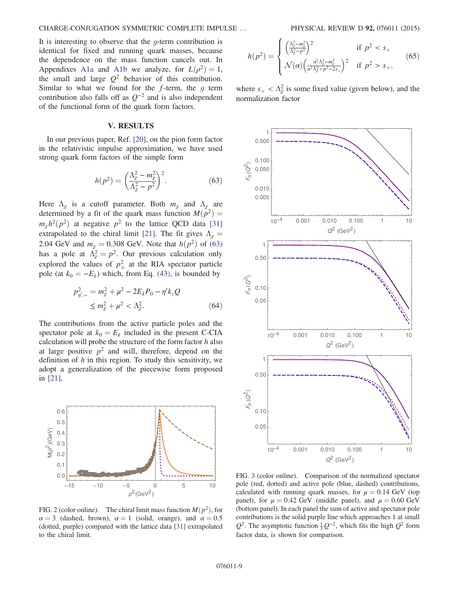#### CHARGE-CONJUGATION SYMMETRIC COMPLETE IMPULSE … PHYSICAL REVIEW D 92, 076011 (2015)

It is interesting to observe that the  $q$ -term contribution is identical for fixed and running quark masses, because the dependence on the mass function cancels out. In Appendixes [A1a](#page-11-1) and [A1b](#page-12-1) we analyze, for  $L(\rho^2) = 1$ , the small and large  $Q^2$  behavior of this contribution. Similar to what we found for the  $f$ -term, the  $g$  term contribution also falls off as  $Q^{-2}$  and is also independent of the functional form of the quark form factors.

### V. RESULTS

<span id="page-9-1"></span><span id="page-9-0"></span>In our previous paper, Ref. [\[20\],](#page-14-6) on the pion form factor in the relativistic impulse approximation, we have used strong quark form factors of the simple form

$$
h(p^2) = \left(\frac{\Lambda_{\chi}^2 - m_{\chi}^2}{\Lambda_{\chi}^2 - p^2}\right)^2.
$$
 (63)

Here  $\Lambda_{\chi}$  is a cutoff parameter. Both  $m_{\chi}$  and  $\Lambda_{\chi}$  are determined by a fit of the quark mass function  $M(p^2)$  =  $m_{\gamma}h^2(p^2)$  at negative  $p^2$  to the lattice QCD data [\[31\]](#page-14-13) extrapolated to the chiral limit [\[21\]](#page-14-7). The fit gives  $\Lambda_{\chi} =$ 2.04 GeV and  $m_{\chi} = 0.308$  GeV. Note that  $h(p^2)$  of [\(63\)](#page-9-1)<br>has a pole at  $\Lambda_{\chi}^2 = p^2$ . Our previous calculation only<br>explored the values of  $n^2$  at the PIA spectator pertials explored the values of  $p_{\pm}^2$  at the RIA spectator particle<br>pole (at  $k_2 = -E$ .) which from Eq. (43) is bounded by pole (at  $k_0 = -E_k$ ) which, from Eq. [\(43\),](#page-6-2) is bounded by

$$
p_{\eta',-}^2 = m_{\chi}^2 + \mu^2 - 2E_k P_0 - \eta' k_z Q
$$
  
 
$$
\leq m_{\chi}^2 + \mu^2 < \Lambda_{\chi}^2. \tag{64}
$$

The contributions from the active particle poles and the spectator pole at  $k_0 = E_k$  included in the present C-CIA calculation will probe the structure of the form factor  $h$  also at large positive  $p^2$  and will, therefore, depend on the definition of  $h$  in this region. To study this sensitivity, we adopt a generalization of the piecewise form proposed in [\[21\]](#page-14-7),

<span id="page-9-3"></span><span id="page-9-2"></span>

FIG. 2 (color online). The chiral limit mass function  $M(p^2)$ , for  $\alpha = 3$  (dashed, brown),  $\alpha = 1$  (solid, orange), and  $\alpha = 0.5$ (dotted, purple) compared with the lattice data [\[31\]](#page-14-13) extrapolated to the chiral limit.

$$
h(p^2) = \begin{cases} \left(\frac{\Lambda_p^2 - m_z^2}{\Lambda_p^2 - p^2}\right)^2 & \text{if } p^2 < s_+\\ \mathcal{N}(\alpha) \left(\frac{\alpha^2 \Lambda_z^2 - m_\chi^2}{\alpha^2 \Lambda_z^2 + p^2 - 2s_+}\right)^2 & \text{if } p^2 > s_+ \end{cases} \tag{65}
$$

where  $s_+ < \Lambda_{\chi}^2$  is some fixed value (given below), and the normalization factor. normalization factor

<span id="page-9-4"></span>

FIG. 3 (color online). Comparison of the normalized spectator pole (red, dotted) and active pole (blue, dashed) contributions, calculated with running quark masses, for  $\mu = 0.14$  GeV (top panel), for  $\mu = 0.42$  GeV (middle panel), and  $\mu = 0.60$  GeV (bottom panel). In each panel the sum of active and spectator pole contributions is the solid purple line which approaches 1 at small  $Q^2$ . The asymptotic function  $\frac{1}{3}Q^{-2}$ , which fits the high  $Q^2$  form factor data, is shown for comparison.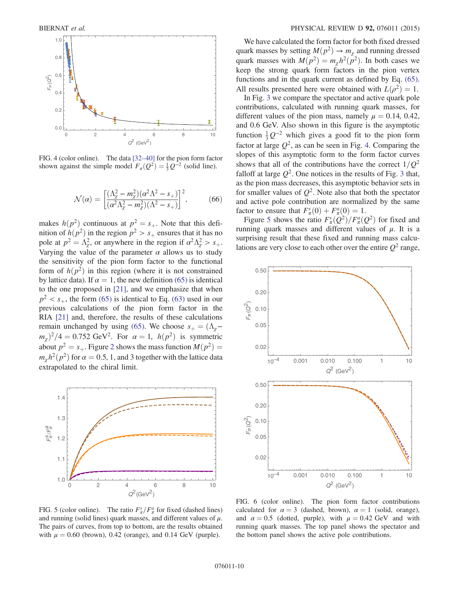<span id="page-10-0"></span>

FIG. 4 (color online). The data [32–[40\]](#page-14-14) for the pion form factor shown against the simple model  $F_{\pi}(Q^2) = \frac{1}{3}Q^{-2}$  (solid line).

$$
\mathcal{N}(\alpha) = \left[ \frac{(\Lambda_{\chi}^2 - m_{\chi}^2)(\alpha^2 \Lambda^2 - s_+)}{(\alpha^2 \Lambda_{\chi}^2 - m_{\chi}^2)(\Lambda^2 - s_+)} \right]^2, \tag{66}
$$

makes  $h(p^2)$  continuous at  $p^2 = s_+$ . Note that this definition of  $h(p^2)$  in the region  $p^2 > s_+$  ensures that it has no pole at  $p^2 = \Lambda_{\chi}^2$ , or anywhere in the region if  $\alpha^2 \Lambda_{\chi}^2 > s_+$ .<br>Varying the value of the parameter  $\alpha$  allows us to study Varying the value of the parameter  $\alpha$  allows us to study the sensitivity of the pion form factor to the functional form of  $h(p^2)$  in this region (where it is not constrained by lattice data). If  $\alpha = 1$ , the new definition [\(65\)](#page-9-2) is identical to the one proposed in [\[21\]](#page-14-7), and we emphasize that when  $p^2 < s_+$ , the form [\(65\)](#page-9-2) is identical to Eq. [\(63\)](#page-9-1) used in our previous calculations of the pion form factor in the RIA [\[21\]](#page-14-7) and, therefore, the results of these calculations remain unchanged by using [\(65\).](#page-9-2) We choose  $s_+ = (\Lambda_{\gamma} - \Lambda_{\gamma})$  $(m_\chi)^2/4 = 0.752 \text{ GeV}^2$ . For  $\alpha = 1$ ,  $h(p^2)$  is symmetric about  $p^2 = s_+$  $p^2 = s_+$  $p^2 = s_+$ . Figure 2 shows the mass function  $M(p^2) =$  $m_{\gamma}h^2(p^2)$  for  $\alpha = 0.5, 1$ , and 3 together with the lattice data extrapolated to the chiral limit.

<span id="page-10-1"></span>

FIG. 5 (color online). The ratio  $F^s_\pi/F^a_\pi$  for fixed (dashed lines) and running (solid lines) quark masses, and different values of  $\mu$ . The pairs of curves, from top to bottom, are the results obtained with  $\mu = 0.60$  (brown), 0.42 (orange), and 0.14 GeV (purple).

We have calculated the form factor for both fixed dressed quark masses by setting  $M(p^2) \rightarrow m_\chi$  and running dressed quark masses with  $M(p^2) = m_x h^2(p^2)$ . In both cases we keep the strong quark form factors in the pion vertex functions and in the quark current as defined by Eq. [\(65\)](#page-9-2). All results presented here were obtained with  $L(\rho^2) = 1$ .

In Fig. [3](#page-9-4) we compare the spectator and active quark pole contributions, calculated with running quark masses, for different values of the pion mass, namely  $\mu = 0.14, 0.42,$ and 0.6 GeV. Also shown in this figure is the asymptotic function  $\frac{1}{3}Q^{-2}$  which gives a good fit to the pion form factor at large  $Q^2$ , as can be seen in Fig. [4](#page-10-0). Comparing the slopes of this asymptotic form to the form factor curves shows that all of the contributions have the correct  $1/Q^2$ falloff at large  $Q^2$ . One notices in the results of Fig. [3](#page-9-4) that, as the pion mass decreases, this asymptotic behavior sets in for smaller values of  $Q^2$ . Note also that both the spectator and active pole contribution are normalized by the same factor to ensure that  $F_{\pi}^{s}(0) + F_{\pi}^{a}(0) = 1$ .<br>Figure 5 shows the ratio  $F^{s}(O^{2})/F^{a}(0)$ 

Figure [5](#page-10-1) shows the ratio  $F_{\pi}^{s}(Q^{2})/F_{\pi}^{a}(Q^{2})$  for fixed and<br>nuing quark masses and different values of u. It is a running quark masses and different values of  $\mu$ . It is a surprising result that these fixed and running mass calculations are very close to each other over the entire  $Q^2$  range,

<span id="page-10-2"></span>

FIG. 6 (color online). The pion form factor contributions calculated for  $\alpha = 3$  (dashed, brown),  $\alpha = 1$  (solid, orange), and  $\alpha = 0.5$  (dotted, purple), with  $\mu = 0.42$  GeV and with running quark masses. The top panel shows the spectator and the bottom panel shows the active pole contributions.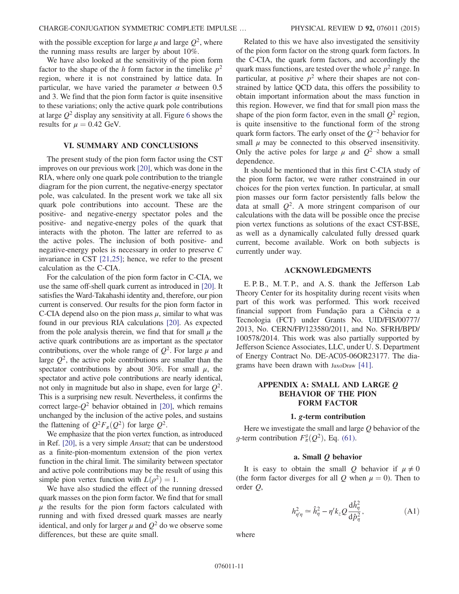with the possible exception for large  $\mu$  and large  $Q^2$ , where the running mass results are larger by about 10%.

We have also looked at the sensitivity of the pion form factor to the shape of the h form factor in the timelike  $p^2$ region, where it is not constrained by lattice data. In particular, we have varied the parameter  $\alpha$  between 0.5 and 3. We find that the pion form factor is quite insensitive to these variations; only the active quark pole contributions at large  $Q^2$  display any sensitivity at all. Figure [6](#page-10-2) shows the results for  $\mu = 0.42$  GeV.

#### VI. SUMMARY AND CONCLUSIONS

<span id="page-11-0"></span>The present study of the pion form factor using the CST improves on our previous work [\[20\]](#page-14-6), which was done in the RIA, where only one quark pole contribution to the triangle diagram for the pion current, the negative-energy spectator pole, was calculated. In the present work we take all six quark pole contributions into account. These are the positive- and negative-energy spectator poles and the positive- and negative-energy poles of the quark that interacts with the photon. The latter are referred to as the active poles. The inclusion of both positive- and negative-energy poles is necessary in order to preserve C invariance in CST [\[21,25\]](#page-14-7); hence, we refer to the present calculation as the C-CIA.

For the calculation of the pion form factor in C-CIA, we use the same off-shell quark current as introduced in [\[20\].](#page-14-6) It satisfies the Ward-Takahashi identity and, therefore, our pion current is conserved. Our results for the pion form factor in C-CIA depend also on the pion mass  $\mu$ , similar to what was found in our previous RIA calculations [\[20\].](#page-14-6) As expected from the pole analysis therein, we find that for small  $\mu$  the active quark contributions are as important as the spectator contributions, over the whole range of  $Q^2$ . For large  $\mu$  and large  $Q^2$ , the active pole contributions are smaller than the spectator contributions by about 30%. For small  $\mu$ , the spectator and active pole contributions are nearly identical, not only in magnitude but also in shape, even for large  $Q^2$ . This is a surprising new result. Nevertheless, it confirms the correct large- $Q^2$  behavior obtained in [\[20\],](#page-14-6) which remains unchanged by the inclusion of the active poles, and sustains the flattening of  $Q^2F_{\pi}(Q^2)$  for large  $Q^2$ .

We emphasize that the pion vertex function, as introduced in Ref. [\[20\],](#page-14-6) is a very simple Ansatz that can be understood as a finite-pion-momentum extension of the pion vertex function in the chiral limit. The similarity between spectator and active pole contributions may be the result of using this simple pion vertex function with  $L(\rho^2) = 1$ .

We have also studied the effect of the running dressed quark masses on the pion form factor. We find that for small  $\mu$  the results for the pion form factors calculated with running and with fixed dressed quark masses are nearly identical, and only for larger  $\mu$  and  $Q^2$  do we observe some differences, but these are quite small.

Related to this we have also investigated the sensitivity of the pion form factor on the strong quark form factors. In the C-CIA, the quark form factors, and accordingly the quark mass functions, are tested over the whole  $p<sup>2</sup>$  range. In particular, at positive  $p^2$  where their shapes are not constrained by lattice QCD data, this offers the possibility to obtain important information about the mass function in this region. However, we find that for small pion mass the shape of the pion form factor, even in the small  $Q^2$  region, is quite insensitive to the functional form of the strong quark form factors. The early onset of the  $Q^{-2}$  behavior for small  $\mu$  may be connected to this observed insensitivity. Only the active poles for large  $\mu$  and  $Q^2$  show a small dependence.

It should be mentioned that in this first C-CIA study of the pion form factor, we were rather constrained in our choices for the pion vertex function. In particular, at small pion masses our form factor persistently falls below the data at small  $Q^2$ . A more stringent comparison of our calculations with the data will be possible once the precise pion vertex functions as solutions of the exact CST-BSE, as well as a dynamically calculated fully dressed quark current, become available. Work on both subjects is currently under way.

# ACKNOWLEDGMENTS

E. P. B., M. T. P., and A. S. thank the Jefferson Lab Theory Center for its hospitality during recent visits when part of this work was performed. This work received financial support from Fundação para a Ciência e a Tecnologia (FCT) under Grants No. UID/FIS/00777/ 2013, No. CERN/FP/123580/2011, and No. SFRH/BPD/ 100578/2014. This work was also partially supported by Jefferson Science Associates, LLC, under U. S. Department of Energy Contract No. DE-AC05-06OR23177. The diagrams have been drawn with JaxoDraw [\[41\]](#page-15-0).

# APPENDIX A: SMALL AND LARGE Q BEHAVIOR OF THE PION FORM FACTOR

#### 1. g-term contribution

Here we investigate the small and large Q behavior of the g-term contribution  $F_{\pi}^{g}(Q^2)$ , Eq. [\(61\)](#page-8-0).

### a. Small Q behavior

<span id="page-11-1"></span>It is easy to obtain the small O behavior if  $\mu \neq 0$ (the form factor diverges for all Q when  $\mu = 0$ ). Then to order Q,

$$
h_{\eta'\eta}^2 \simeq \hat{h}_{\eta}^2 - \eta' k_z Q \frac{\mathrm{d}\hat{h}_{\eta}^2}{\mathrm{d}\hat{p}_{\eta}^2},\tag{A1}
$$

<span id="page-11-2"></span>where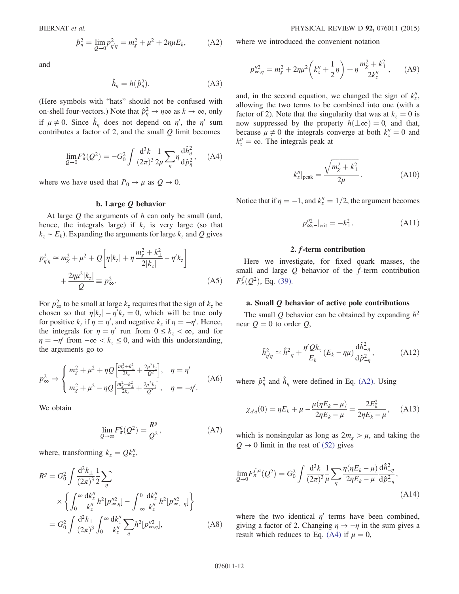$$
\hat{p}_{\eta}^{2} = \lim_{Q \to 0} p_{\eta/\eta}^{2} = m_{\chi}^{2} + \mu^{2} + 2\eta\mu E_{k}, \tag{A2}
$$

and

$$
\hat{h}_{\eta} = h(\hat{p}_{\eta}^2). \tag{A3}
$$

<span id="page-12-2"></span>(Here symbols with "hats" should not be confused with on-shell four-vectors.) Note that  $\hat{p}_{\eta}^2 \to \eta \infty$  as  $k \to \infty$ , only if  $\mu \neq 0$ . Since  $\hat{h}_{\eta}$  does not depend on  $\eta'$ , the  $\eta'$  sum contributes a factor of 2, and the small  $Q$  limit becomes

$$
\lim_{Q \to 0} F_{\pi}^{g}(Q^{2}) = -G_{0}^{2} \int \frac{\mathrm{d}^{3}k}{(2\pi)^{3}} \frac{1}{2\mu} \sum_{\eta} \eta \frac{\mathrm{d}\hat{h}_{\eta}^{2}}{\mathrm{d}\hat{p}_{\eta}^{2}}, \quad \text{(A4)}
$$

<span id="page-12-1"></span>where we have used that  $P_0 \rightarrow \mu$  as  $Q \rightarrow 0$ .

#### b. Large Q behavior

At large  $Q$  the arguments of  $h$  can only be small (and, hence, the integrals large) if  $k_z$  is very large (so that  $k_z \sim E_k$ ). Expanding the arguments for large  $k_z$  and Q gives

$$
p_{\eta'\eta}^2 \approx m_{\chi}^2 + \mu^2 + Q \left[ \eta |k_z| + \eta \frac{m_{\chi}^2 + k_{\perp}^2}{2|k_z|} - \eta' k_z \right] + \frac{2\eta\mu^2 |k_z|}{Q} \equiv p_{\infty}^2.
$$
 (A5)

For  $p_{\infty}^2$  to be small at large  $k_z$  requires that the sign of  $k_z$  be chosen so that  $\eta |k_z| - \eta' k_z = 0$ , which will be true only<br>for positive k if  $n = n'$  and peoplive k if  $n = -n'$  Hence for positive  $k_z$  if  $\eta = \eta'$ , and negative  $k_z$  if  $\eta = -\eta'$ . Hence,<br>the integrals for  $n - \eta'$  run from  $0 \le k \le \infty$  and for the integrals for  $\eta = \eta'$  run from  $0 \le k_z < \infty$ , and for  $\eta = -\eta'$  from  $-\infty < k_z \leq 0$ , and with this understanding, the arguments go to

<span id="page-12-4"></span>
$$
p_{\infty}^{2} \to \begin{cases} m_{\chi}^{2} + \mu^{2} + \eta Q \left[ \frac{m_{\chi}^{2} + k_{\perp}^{2}}{2k_{z}} + \frac{2\mu^{2}k_{z}}{Q^{2}} \right], & \eta = \eta' \\ m_{\chi}^{2} + \mu^{2} - \eta Q \left[ \frac{m_{\chi}^{2} + k_{\perp}^{2}}{2k_{z}} + \frac{2\mu^{2}k_{z}}{Q^{2}} \right], & \eta = -\eta'. \end{cases} (A6)
$$

We obtain

$$
\lim_{Q \to \infty} F_{\pi}^{g}(Q^{2}) = \frac{R^{g}}{Q^{2}},
$$
\n(A7)

<span id="page-12-5"></span>where, transforming  $k_z = Qk_z''$ ,

$$
R^{g} = G_{0}^{2} \int \frac{d^{2}k_{\perp}}{(2\pi)^{3}} \frac{1}{2} \sum_{\eta} \times \left\{ \int_{0}^{\infty} \frac{dk_{z}''}{k_{z}''} h^{2} [p_{\infty,\eta}''] - \int_{-\infty}^{0} \frac{dk_{z}''}{k_{z}''} h^{2} [p_{\infty,-\eta}''] \right\}
$$
  
=  $G_{0}^{2} \int \frac{d^{2}k_{\perp}}{(2\pi)^{3}} \int_{0}^{\infty} \frac{dk_{z}''}{k_{z}''} \sum_{\eta} h^{2} [p_{\infty,\eta}''],$  (A8)

<span id="page-12-6"></span>where we introduced the convenient notation

$$
p_{\infty,\eta}^{\prime\prime2} = m_{\chi}^2 + 2\eta\mu^2 \left(k_z^{\prime\prime} + \frac{1}{2}\eta\right) + \eta \frac{m_{\chi}^2 + k_{\perp}^2}{2k_z^{\prime\prime}},\qquad\text{(A9)}
$$

and, in the second equation, we changed the sign of  $k''_z$ , allowing the two terms to be combined into one (with a factor of 2). Note that the singularity that was at  $k_z = 0$  is now suppressed by the property  $h(\pm\infty) = 0$ , and that, because  $\mu \neq 0$  the integrals converge at both  $k_z'' = 0$  and  $k'' - \infty$ . The integrals neak at  $k_z'' = \infty$ . The integrals peak at

$$
k''_z|_{\text{peak}} = \frac{\sqrt{m_\chi^2 + k_\perp^2}}{2\mu}.
$$
 (A10)

Notice that if  $\eta = -1$ , and  $k_z'' = 1/2$ , the argument becomes

$$
p_{\infty,-\text{|crit}}^{"2} = -k_{\perp}^2. \tag{A11}
$$

#### 2. f-term contribution

<span id="page-12-0"></span>Here we investigate, for fixed quark masses, the small and large  $Q$  behavior of the  $f$ -term contribution  $F_{\pi}^{f}(Q^{2})$ , Eq. [\(39\)](#page-6-0).

#### a. Small Q behavior of active pole contributions

The small Q behavior can be obtained by expanding  $h^2$ near  $Q = 0$  to order  $Q$ ,

$$
\bar{h}_{\eta'\eta}^2 \simeq \hat{h}_{-\eta}^2 + \frac{\eta' Q k_z}{E_k} (E_k - \eta \mu) \frac{d\hat{h}_{-\eta}^2}{d\hat{p}_{-\eta}^2},
$$
 (A12)

where  $\hat{p}_\eta^2$  and  $\hat{h}_\eta$  were defined in Eq. [\(A2\).](#page-11-2) Using

$$
\bar{\chi}_{\eta'\eta}(0) = \eta E_k + \mu - \frac{\mu(\eta E_k - \mu)}{2\eta E_k - \mu} = \frac{2E_k^2}{2\eta E_k - \mu}, \quad (A13)
$$

which is nonsingular as long as  $2m_\gamma > \mu$ , and taking the  $Q \rightarrow 0$  limit in the rest of [\(52\)](#page-7-0) gives

<span id="page-12-3"></span>
$$
\lim_{Q \to 0} F_{\pi}^{f,a}(Q^2) = G_0^2 \int \frac{d^3 k}{(2\pi)^3} \frac{1}{\mu} \sum_{\eta} \frac{\eta(\eta E_k - \mu)}{2\eta E_k - \mu} \frac{d\hat{h}_{-\eta}^2}{d\hat{p}_{-\eta}^2},\tag{A14}
$$

where the two identical  $\eta'$  terms have been combined, giving a factor of 2. Changing  $\eta \to -\eta$  in the sum gives a result which reduces to Eq. [\(A4\)](#page-12-2) if  $\mu = 0$ ,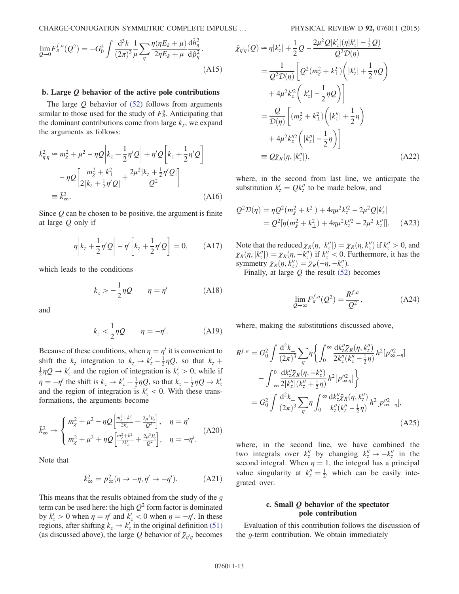CHARGE-CONJUGATION SYMMETRIC COMPLETE IMPULSE … PHYSICAL REVIEW D 92, 076011 (2015)

$$
\lim_{Q \to 0} F_{\pi}^{f,a}(Q^2) = -G_0^2 \int \frac{\mathrm{d}^3 k}{(2\pi)^3} \frac{1}{\mu} \sum_{\eta} \frac{\eta(\eta E_k + \mu)}{2\eta E_k + \mu} \frac{\mathrm{d}\hat{h}_{\eta}^2}{\mathrm{d}\hat{p}_{\eta}^2}.
$$
\n(A15)

#### <span id="page-13-1"></span>b. Large  $Q$  behavior of the active pole contributions

The large  $Q$  behavior of  $(52)$  follows from arguments similar to those used for the study of  $F_{\pi}^{g}$ . Anticipating that the dominant contributions come from large  $k_z$ , we expand the arguments as follows:

$$
\bar{k}_{\eta'\eta}^2 \approx m_{\chi}^2 + \mu^2 - \eta Q \left| k_z + \frac{1}{2} \eta' Q \right| + \eta' Q \left[ k_z + \frac{1}{2} \eta' Q \right] \n- \eta Q \left[ \frac{m_{\chi}^2 + k_{\perp}^2}{2 |k_z + \frac{1}{2} \eta' Q|} + \frac{2\mu^2 |k_z + \frac{1}{2} \eta' Q|}{Q^2} \right] \n\equiv \bar{k}_{\infty}^2.
$$
\n(A16)

Since  $Q$  can be chosen to be positive, the argument is finite at large Q only if

$$
\eta \left| k_z + \frac{1}{2} \eta' Q \right| - \eta' \left[ k_z + \frac{1}{2} \eta' Q \right] = 0, \qquad (A17)
$$

which leads to the conditions

$$
k_z > -\frac{1}{2}\eta Q \qquad \eta = \eta' \tag{A18}
$$

and

$$
k_z < \frac{1}{2}\eta Q \qquad \eta = -\eta'.\tag{A19}
$$

Because of these conditions, when  $\eta = \eta'$  it is convenient to shift the  $k_z$  integration to  $k_z \rightarrow k'_z - \frac{1}{2}\eta Q$ , so that  $k_z + \frac{1}{2}\eta Q$ ,  $k_z = \frac{1}{2}\eta Q$ ,  $k_z = 0$ , while if  $\frac{1}{2}\eta Q \rightarrow k'_z$  and the region of integration is  $k'_z > 0$ , while if  $\eta = -\eta'$  the shift is  $k_z \to k'_z + \frac{1}{2}\eta Q$ , so that  $k_z - \frac{1}{2}\eta Q \to k'_z$ <br>and the region of integration is  $k' < 0$ . With these trans and the region of integration is  $k'_z < 0$ . With these transformations, the arguments become

$$
\bar{k}_{\infty}^{2} \rightarrow \begin{cases} m_{\chi}^{2} + \mu^{2} - \eta \mathcal{Q} \left[ \frac{m_{\chi}^{2} + k_{\perp}^{2}}{2k_{z}'} + \frac{2\mu^{2}k_{z}'}{\mathcal{Q}^{2}} \right], & \eta = \eta' \\ m_{\chi}^{2} + \mu^{2} + \eta \mathcal{Q} \left[ \frac{m_{\chi}^{2} + k_{\perp}^{2}}{2k_{z}'} + \frac{2\mu^{2}k_{z}'}{\mathcal{Q}^{2}} \right], & \eta = -\eta'. \end{cases} (A20)
$$

Note that

$$
\bar{k}_{\infty}^2 = p_{\infty}^2(\eta \to -\eta, \eta' \to -\eta'). \tag{A21}
$$

This means that the results obtained from the study of the  $g$ term can be used here: the high  $Q^2$  form factor is dominated by  $k'_z > 0$  when  $\eta = \eta'$  and  $k'_z < 0$  when  $\eta = -\eta'$ . In these regions after shifting  $k \to k'$  in the original definition (51) regions, after shifting  $k_z \rightarrow k'_z$  in the original definition [\(51\)](#page-7-1) (as discussed above), the large Q behavior of  $\bar{\chi}_{\eta/\eta}$  becomes

$$
\bar{\chi}_{\eta'\eta}(Q) \approx \eta |k'_z| + \frac{1}{2} Q - \frac{2\mu^2 Q |k'_z| (\eta |k'_z| - \frac{1}{2}Q)}{Q^2 \mathcal{D}(\eta)} \n= \frac{1}{Q^2 \mathcal{D}(\eta)} \left[ Q^2 (m_\chi^2 + k_\perp^2) \left( |k'_z| + \frac{1}{2} \eta Q \right) \right] \n+ 4\mu^2 k_z^2 \left( |k'_z| - \frac{1}{2} \eta Q \right) \n= \frac{Q}{\mathcal{D}(\eta)} \left[ (m_\chi^2 + k_\perp^2) \left( |k''_z| + \frac{1}{2} \eta \right) \right] \n+ 4\mu^2 k_z^{\prime\prime 2} \left( |k''_z| - \frac{1}{2} \eta \right) \n= Q \bar{\chi}_R(\eta, |k''_z|), \tag{A22}
$$

where, in the second from last line, we anticipate the substitution  $k'_z = Qk''_z$  to be made below, and

$$
Q^{2}D(\eta) = \eta Q^{2}(m_{\chi}^{2} + k_{\perp}^{2}) + 4\eta\mu^{2}k_{z}^{2} - 2\mu^{2}Q|k_{z}'|
$$
  
= 
$$
Q^{2}[\eta(m_{\chi}^{2} + k_{\perp}^{2}) + 4\eta\mu^{2}k_{z}^{"2} - 2\mu^{2}|k_{z}^{''}|].
$$
 (A23)

Note that the reduced  $\bar{\chi}_R(\eta, |k_z|) = \bar{\chi}_R(\eta, k_z)$  if  $k_z^{\prime\prime} > 0$ , and  $\bar{\chi}_R(\eta, |k_z^{\prime\prime}|) = \bar{\chi}_R(\eta, k_z^{\prime\prime})$  if  $k_z^{\prime\prime} < 0$ . Furthermore, it has the  $\bar{\chi}_R(\eta, |k_z''|) = \bar{\chi}_R(\eta, -k_z'')$  if  $k_z'' < 0$ . Furthermore, it has the symmetry  $\bar{\chi}_R(\eta, k_z''') = \bar{\chi}_R(-\eta, -k_z'')$ symmetry  $\bar{\chi}_R(\eta, k_z'') = \bar{\chi}_R(-\eta, -k_z'').$ <br>Finally at large O the result (52)

Finally, at large  $Q$  the result [\(52\)](#page-7-0) becomes

$$
\lim_{Q \to \infty} F_{\pi}^{f,a}(Q^2) = \frac{R^{f,a}}{Q^2},\tag{A24}
$$

where, making the substitutions discussed above,

$$
R^{f,a} = G_0^2 \int \frac{d^2 k_{\perp}}{(2\pi)^3} \sum_{\eta} \eta \left\{ \int_0^{\infty} \frac{dk''_{z} \bar{\chi}_R(\eta, k''_z)}{2k''_{z}(k''_z - \frac{1}{2}\eta)} h^2[p''^2_{\infty, -\eta}] \right. \\ - \int_{-\infty}^0 \frac{dk''_{z} \bar{\chi}_R(\eta, -k''_z)}{2|k''_{z}|(k''_z + \frac{1}{2}\eta)} h^2[p''^2_{\infty, \eta}] \right\} \\ = G_0^2 \int \frac{d^2 k_{\perp}}{(2\pi)^3} \sum_{\eta} \eta \int_0^{\infty} \frac{dk''_{z} \bar{\chi}_R(\eta, k''_z)}{k''_{z}(k''_z - \frac{1}{2}\eta)} h^2[p''^2_{\infty, -\eta}], \tag{A25}
$$

<span id="page-13-0"></span>where, in the second line, we have combined the two integrals over  $k''_z$  by changing  $k''_z \rightarrow -k''_z$  in the second integral. When  $\eta = 1$ , the integral has a principal value singularity at  $k_z'' = \frac{1}{2}$ , which can be easily integrated over.

# c. Small Q behavior of the spectator pole contribution

Evaluation of this contribution follows the discussion of the  $g$ -term contribution. We obtain immediately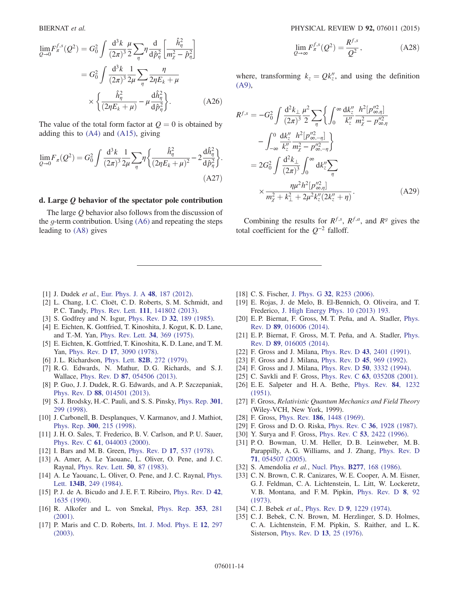$$
\lim_{Q \to 0} F_{\pi}^{f,s}(Q^2) = G_0^2 \int \frac{d^3 k}{(2\pi)^3} \frac{\mu}{2} \sum_{\eta} \eta \frac{d}{d\hat{p}_{\eta}^2} \left[ \frac{\hat{h}_{\eta}^2}{m_{\chi}^2 - \hat{p}_{\eta}^2} \right]
$$

$$
= G_0^2 \int \frac{d^3 k}{(2\pi)^3} \frac{1}{2\mu} \sum_{\eta} \frac{\eta}{2\eta E_k + \mu}
$$

$$
\times \left\{ \frac{\hat{h}_{\eta}^2}{(2\eta E_k + \mu)} - \mu \frac{d\hat{h}_{\eta}^2}{d\hat{p}_{\eta}^2} \right\}.
$$
(A26)

 $\lambda$  2

The value of the total form factor at  $Q = 0$  is obtained by adding this to [\(A4\)](#page-12-2) and [\(A15\)](#page-12-3), giving

$$
\lim_{Q \to 0} F_{\pi}(Q^2) = G_0^2 \int \frac{d^3 k}{(2\pi)^3} \frac{1}{2\mu} \sum_{\eta} \eta \left\{ \frac{\hat{h}_{\eta}^2}{(2\eta E_k + \mu)^2} - 2 \frac{d\hat{h}_{\eta}^2}{d\hat{p}_{\eta}^2} \right\}.
$$
\n(A27)

### <span id="page-14-12"></span>d. Large  $Q$  behavior of the spectator pole contribution

The large Q behavior also follows from the discussion of the q-term contribution. Using  $(A6)$  and repeating the steps leading to [\(A8\)](#page-12-5) gives

$$
\lim_{Q \to \infty} F_{\pi}^{f,s}(Q^2) = \frac{R^{f,s}}{Q^2},\tag{A28}
$$

where, transforming  $k_z = Qk''_z$ , and using the definition  $(49)$ [\(A9\),](#page-12-6)

$$
R^{f,s} = -G_0^2 \int \frac{d^2 k_{\perp}}{(2\pi)^3} \frac{\mu^2}{2} \sum_{\eta} \left\{ \int_0^{\infty} \frac{dk''_z}{k''_z} \frac{h^2 [p''^2_{\infty,\eta}]}{m^2_{\chi} - p''^2_{\infty,\eta}} - \int_{-\infty}^0 \frac{dk''_z}{k''_z} \frac{h^2 [p''^2_{\infty,-\eta}]}{m^2_{\chi} - p'''^2_{\infty,-\eta}} \right\}
$$
  
=  $2G_0^2 \int \frac{d^2 k_{\perp}}{(2\pi)^3} \int_0^{\infty} dk''_z \sum_{\eta} \times \frac{\eta \mu^2 h^2 [p''^2_{\infty,\eta}]}{\eta^2 + k^2_{\perp} + 2\mu^2 k''_z (2k''_z + \eta)}.$  (A29)

Combining the results for  $R^{f,s}$ ,  $R^{f,a}$ , and  $R^g$  gives the total coefficient for the  $O^{-2}$  falloff.

- <span id="page-14-0"></span>[1] J. Dudek *et al.*, [Eur. Phys. J. A](http://dx.doi.org/10.1140/epja/i2012-12187-1) **48**, 187 (2012).
- <span id="page-14-1"></span>[2] L. Chang, I. C. Cloët, C. D. Roberts, S. M. Schmidt, and P. C. Tandy, Phys. Rev. Lett. 111[, 141802 \(2013\).](http://dx.doi.org/10.1103/PhysRevLett.111.141802)
- <span id="page-14-2"></span>[3] S. Godfrey and N. Isgur, [Phys. Rev. D](http://dx.doi.org/10.1103/PhysRevD.32.189) 32, 189 (1985).
- [4] E. Eichten, K. Gottfried, T. Kinoshita, J. Kogut, K. D. Lane, and T.-M. Yan, [Phys. Rev. Lett.](http://dx.doi.org/10.1103/PhysRevLett.34.369) 34, 369 (1975).
- [5] E. Eichten, K. Gottfried, T. Kinoshita, K. D. Lane, and T. M. Yan, Phys. Rev. D 17[, 3090 \(1978\)](http://dx.doi.org/10.1103/PhysRevD.17.3090).
- [6] J.L. Richardson, Phys. Lett. **82B**[, 272 \(1979\)](http://dx.doi.org/10.1016/0370-2693(79)90753-6).
- <span id="page-14-3"></span>[7] R. G. Edwards, N. Mathur, D. G. Richards, and S. J. Wallace, Phys. Rev. D **87**[, 054506 \(2013\)](http://dx.doi.org/10.1103/PhysRevD.87.054506).
- [8] P. Guo, J. J. Dudek, R. G. Edwards, and A. P. Szczepaniak, Phys. Rev. D 88[, 014501 \(2013\)](http://dx.doi.org/10.1103/PhysRevD.88.014501).
- <span id="page-14-4"></span>[9] S. J. Brodsky, H.-C. Pauli, and S. S. Pinsky, [Phys. Rep.](http://dx.doi.org/10.1016/S0370-1573(97)00089-6) 301, [299 \(1998\)](http://dx.doi.org/10.1016/S0370-1573(97)00089-6).
- [10] J. Carbonell, B. Desplanques, V. Karmanov, and J. Mathiot, Phys. Rep. 300[, 215 \(1998\).](http://dx.doi.org/10.1016/S0370-1573(97)00090-2)
- [11] J. H. O. Sales, T. Frederico, B. V. Carlson, and P. U. Sauer, Phys. Rev. C 61[, 044003 \(2000\).](http://dx.doi.org/10.1103/PhysRevC.61.044003)
- <span id="page-14-5"></span>[12] I. Bars and M. B. Green, [Phys. Rev. D](http://dx.doi.org/10.1103/PhysRevD.17.537) 17, 537 (1978).
- [13] A. Amer, A. Le Yaouanc, L. Oliver, O. Pene, and J.C. Raynal, [Phys. Rev. Lett.](http://dx.doi.org/10.1103/PhysRevLett.50.87) 50, 87 (1983).
- [14] A. Le Yaouanc, L. Oliver, O. Pene, and J. C. Raynal, [Phys.](http://dx.doi.org/10.1016/0370-2693(84)90681-6) Lett. 134B[, 249 \(1984\).](http://dx.doi.org/10.1016/0370-2693(84)90681-6)
- [15] P. J. de A. Bicudo and J. E. F. T. Ribeiro, [Phys. Rev. D](http://dx.doi.org/10.1103/PhysRevD.42.1635) 42, [1635 \(1990\)](http://dx.doi.org/10.1103/PhysRevD.42.1635).
- [16] R. Alkofer and L. von Smekal, [Phys. Rep.](http://dx.doi.org/10.1016/S0370-1573(01)00010-2) 353, 281 [\(2001\).](http://dx.doi.org/10.1016/S0370-1573(01)00010-2)
- [17] P. Maris and C. D. Roberts, [Int. J. Mod. Phys. E](http://dx.doi.org/10.1142/S0218301303001326) 12, 297 [\(2003\).](http://dx.doi.org/10.1142/S0218301303001326)
- [18] C. S. Fischer, J. Phys. G **32**[, R253 \(2006\)](http://dx.doi.org/10.1088/0954-3899/32/8/R02).
- [19] E. Rojas, J. de Melo, B. El-Bennich, O. Oliveira, and T. Frederico, [J. High Energy Phys. 10 \(2013\) 193.](http://dx.doi.org/10.1007/JHEP10(2013)193)
- <span id="page-14-6"></span>[20] E. P. Biernat, F. Gross, M. T. Peña, and A. Stadler, [Phys.](http://dx.doi.org/10.1103/PhysRevD.89.016006) Rev. D 89[, 016006 \(2014\)](http://dx.doi.org/10.1103/PhysRevD.89.016006).
- <span id="page-14-7"></span>[21] E. P. Biernat, F. Gross, M. T. Peña, and A. Stadler, [Phys.](http://dx.doi.org/10.1103/PhysRevD.89.016005) Rev. D 89[, 016005 \(2014\)](http://dx.doi.org/10.1103/PhysRevD.89.016005).
- [22] F. Gross and J. Milana, Phys. Rev. D 43[, 2401 \(1991\)](http://dx.doi.org/10.1103/PhysRevD.43.2401).
- [23] F. Gross and J. Milana, [Phys. Rev. D](http://dx.doi.org/10.1103/PhysRevD.45.969) 45, 969 (1992).
- [24] F. Gross and J. Milana, Phys. Rev. D **50**[, 3332 \(1994\)](http://dx.doi.org/10.1103/PhysRevD.50.3332).
- [25] C. Savkli and F. Gross, Phys. Rev. C 63[, 035208 \(2001\)](http://dx.doi.org/10.1103/PhysRevC.63.035208).
- <span id="page-14-8"></span>[26] E. E. Salpeter and H. A. Bethe, [Phys. Rev.](http://dx.doi.org/10.1103/PhysRev.84.1232) 84, 1232 [\(1951\).](http://dx.doi.org/10.1103/PhysRev.84.1232)
- <span id="page-14-9"></span>[27] F. Gross, Relativistic Quantum Mechanics and Field Theory (Wiley-VCH, New York, 1999).
- <span id="page-14-10"></span>[28] F. Gross, Phys. Rev. **186**[, 1448 \(1969\)](http://dx.doi.org/10.1103/PhysRev.186.1448).
- <span id="page-14-11"></span>[29] F. Gross and D. O. Riska, Phys. Rev. C 36[, 1928 \(1987\).](http://dx.doi.org/10.1103/PhysRevC.36.1928)
- [30] Y. Surya and F. Gross, Phys. Rev. C 53[, 2422 \(1996\)](http://dx.doi.org/10.1103/PhysRevC.53.2422).
- <span id="page-14-13"></span>[31] P.O. Bowman, U.M. Heller, D.B. Leinweber, M.B. Parappilly, A. G. Williams, and J. Zhang, [Phys. Rev. D](http://dx.doi.org/10.1103/PhysRevD.71.054507) 71[, 054507 \(2005\).](http://dx.doi.org/10.1103/PhysRevD.71.054507)
- <span id="page-14-14"></span>[32] S. Amendolia *et al.*, Nucl. Phys. **B277**[, 168 \(1986\).](http://dx.doi.org/10.1016/0550-3213(86)90437-2)
- [33] C. N. Brown, C. R. Canizares, W. E. Cooper, A. M. Eisner, G. J. Feldman, C. A. Lichtenstein, L. Litt, W. Lockeretz, V. B. Montana, and F. M. Pipkin, [Phys. Rev. D](http://dx.doi.org/10.1103/PhysRevD.8.92) 8, 92 [\(1973\).](http://dx.doi.org/10.1103/PhysRevD.8.92)
- [34] C. J. Bebek et al., Phys. Rev. D 9[, 1229 \(1974\)](http://dx.doi.org/10.1103/PhysRevD.9.1229).
- [35] C. J. Bebek, C. N. Brown, M. Herzlinger, S. D. Holmes, C. A. Lichtenstein, F. M. Pipkin, S. Raither, and L. K. Sisterson, [Phys. Rev. D](http://dx.doi.org/10.1103/PhysRevD.13.25) 13, 25 (1976).